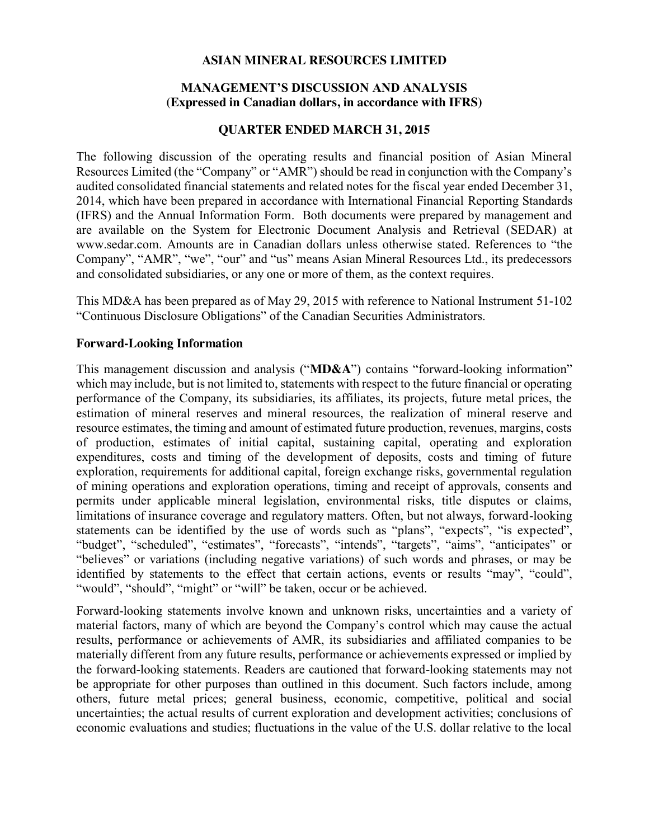#### **ASIAN MINERAL RESOURCES LIMITED**

#### **MANAGEMENT'S DISCUSSION AND ANALYSIS (Expressed in Canadian dollars, in accordance with IFRS)**

#### **QUARTER ENDED MARCH 31, 2015**

The following discussion of the operating results and financial position of Asian Mineral Resources Limited (the "Company" or "AMR") should be read in conjunction with the Company's audited consolidated financial statements and related notes for the fiscal year ended December 31, 2014, which have been prepared in accordance with International Financial Reporting Standards (IFRS) and the Annual Information Form. Both documents were prepared by management and are available on the System for Electronic Document Analysis and Retrieval (SEDAR) at www.sedar.com. Amounts are in Canadian dollars unless otherwise stated. References to "the Company", "AMR", "we", "our" and "us" means Asian Mineral Resources Ltd., its predecessors and consolidated subsidiaries, or any one or more of them, as the context requires.

This MD&A has been prepared as of May 29, 2015 with reference to National Instrument 51-102 "Continuous Disclosure Obligations" of the Canadian Securities Administrators.

#### **Forward-Looking Information**

This management discussion and analysis ("**MD&A**") contains "forward-looking information" which may include, but is not limited to, statements with respect to the future financial or operating performance of the Company, its subsidiaries, its affiliates, its projects, future metal prices, the estimation of mineral reserves and mineral resources, the realization of mineral reserve and resource estimates, the timing and amount of estimated future production, revenues, margins, costs of production, estimates of initial capital, sustaining capital, operating and exploration expenditures, costs and timing of the development of deposits, costs and timing of future exploration, requirements for additional capital, foreign exchange risks, governmental regulation of mining operations and exploration operations, timing and receipt of approvals, consents and permits under applicable mineral legislation, environmental risks, title disputes or claims, limitations of insurance coverage and regulatory matters. Often, but not always, forward-looking statements can be identified by the use of words such as "plans", "expects", "is expected", "budget", "scheduled", "estimates", "forecasts", "intends", "targets", "aims", "anticipates" or "believes" or variations (including negative variations) of such words and phrases, or may be identified by statements to the effect that certain actions, events or results "may", "could", "would", "should", "might" or "will" be taken, occur or be achieved.

Forward-looking statements involve known and unknown risks, uncertainties and a variety of material factors, many of which are beyond the Company's control which may cause the actual results, performance or achievements of AMR, its subsidiaries and affiliated companies to be materially different from any future results, performance or achievements expressed or implied by the forward-looking statements. Readers are cautioned that forward-looking statements may not be appropriate for other purposes than outlined in this document. Such factors include, among others, future metal prices; general business, economic, competitive, political and social uncertainties; the actual results of current exploration and development activities; conclusions of economic evaluations and studies; fluctuations in the value of the U.S. dollar relative to the local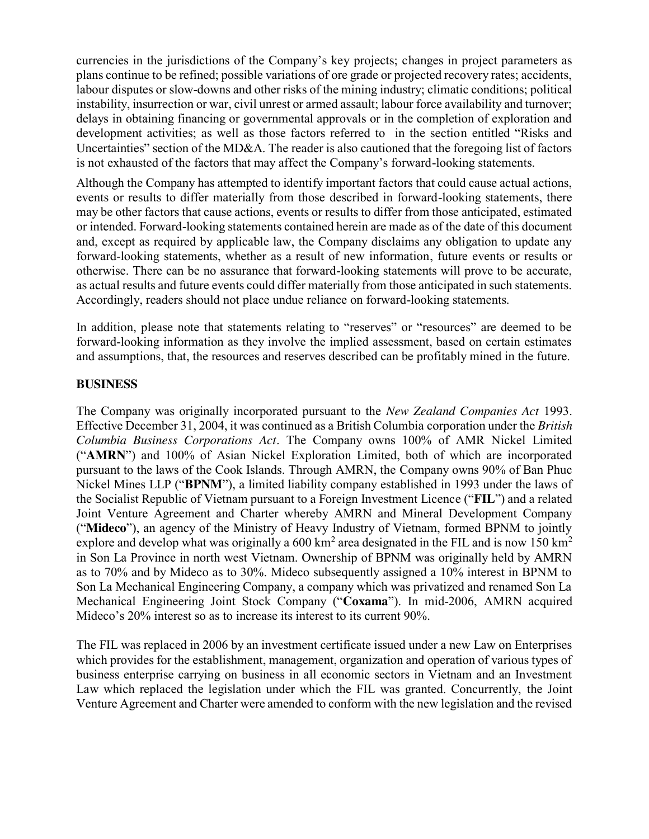currencies in the jurisdictions of the Company's key projects; changes in project parameters as plans continue to be refined; possible variations of ore grade or projected recovery rates; accidents, labour disputes or slow-downs and other risks of the mining industry; climatic conditions; political instability, insurrection or war, civil unrest or armed assault; labour force availability and turnover; delays in obtaining financing or governmental approvals or in the completion of exploration and development activities; as well as those factors referred to in the section entitled "Risks and Uncertainties" section of the MD&A. The reader is also cautioned that the foregoing list of factors is not exhausted of the factors that may affect the Company's forward-looking statements.

Although the Company has attempted to identify important factors that could cause actual actions, events or results to differ materially from those described in forward-looking statements, there may be other factors that cause actions, events or results to differ from those anticipated, estimated or intended. Forward-looking statements contained herein are made as of the date of this document and, except as required by applicable law, the Company disclaims any obligation to update any forward-looking statements, whether as a result of new information, future events or results or otherwise. There can be no assurance that forward-looking statements will prove to be accurate, as actual results and future events could differ materially from those anticipated in such statements. Accordingly, readers should not place undue reliance on forward-looking statements.

In addition, please note that statements relating to "reserves" or "resources" are deemed to be forward-looking information as they involve the implied assessment, based on certain estimates and assumptions, that, the resources and reserves described can be profitably mined in the future.

### **BUSINESS**

The Company was originally incorporated pursuant to the *New Zealand Companies Act* 1993. Effective December 31, 2004, it was continued as a British Columbia corporation under the *British Columbia Business Corporations Act*. The Company owns 100% of AMR Nickel Limited ("**AMRN**") and 100% of Asian Nickel Exploration Limited, both of which are incorporated pursuant to the laws of the Cook Islands. Through AMRN, the Company owns 90% of Ban Phuc Nickel Mines LLP ("**BPNM**"), a limited liability company established in 1993 under the laws of the Socialist Republic of Vietnam pursuant to a Foreign Investment Licence ("**FIL**") and a related Joint Venture Agreement and Charter whereby AMRN and Mineral Development Company ("**Mideco**"), an agency of the Ministry of Heavy Industry of Vietnam, formed BPNM to jointly explore and develop what was originally a 600 km<sup>2</sup> area designated in the FIL and is now 150 km<sup>2</sup> in Son La Province in north west Vietnam. Ownership of BPNM was originally held by AMRN as to 70% and by Mideco as to 30%. Mideco subsequently assigned a 10% interest in BPNM to Son La Mechanical Engineering Company, a company which was privatized and renamed Son La Mechanical Engineering Joint Stock Company ("**Coxama**"). In mid-2006, AMRN acquired Mideco's 20% interest so as to increase its interest to its current 90%.

The FIL was replaced in 2006 by an investment certificate issued under a new Law on Enterprises which provides for the establishment, management, organization and operation of various types of business enterprise carrying on business in all economic sectors in Vietnam and an Investment Law which replaced the legislation under which the FIL was granted. Concurrently, the Joint Venture Agreement and Charter were amended to conform with the new legislation and the revised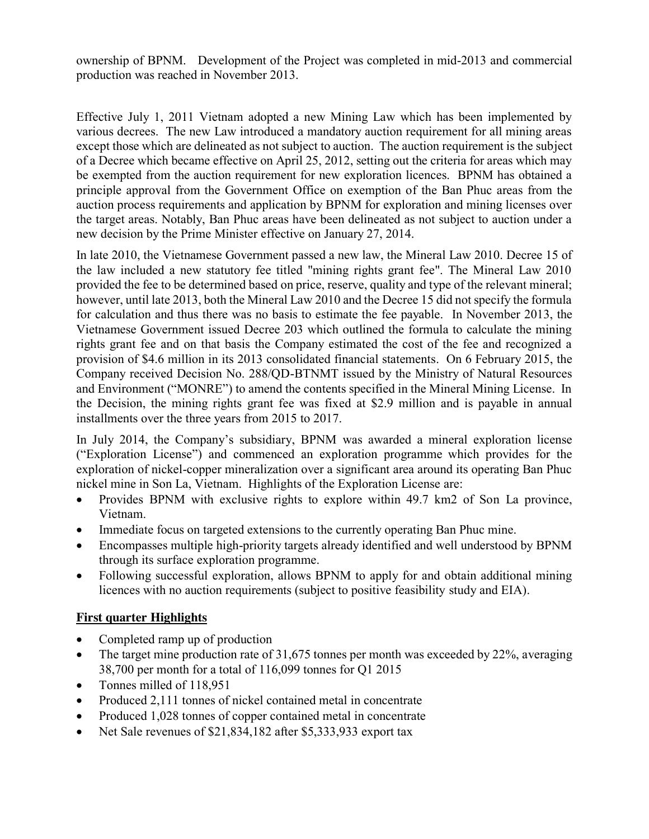ownership of BPNM. Development of the Project was completed in mid-2013 and commercial production was reached in November 2013.

Effective July 1, 2011 Vietnam adopted a new Mining Law which has been implemented by various decrees. The new Law introduced a mandatory auction requirement for all mining areas except those which are delineated as not subject to auction. The auction requirement is the subject of a Decree which became effective on April 25, 2012, setting out the criteria for areas which may be exempted from the auction requirement for new exploration licences. BPNM has obtained a principle approval from the Government Office on exemption of the Ban Phuc areas from the auction process requirements and application by BPNM for exploration and mining licenses over the target areas. Notably, Ban Phuc areas have been delineated as not subject to auction under a new decision by the Prime Minister effective on January 27, 2014.

In late 2010, the Vietnamese Government passed a new law, the Mineral Law 2010. Decree 15 of the law included a new statutory fee titled "mining rights grant fee". The Mineral Law 2010 provided the fee to be determined based on price, reserve, quality and type of the relevant mineral; however, until late 2013, both the Mineral Law 2010 and the Decree 15 did not specify the formula for calculation and thus there was no basis to estimate the fee payable. In November 2013, the Vietnamese Government issued Decree 203 which outlined the formula to calculate the mining rights grant fee and on that basis the Company estimated the cost of the fee and recognized a provision of \$4.6 million in its 2013 consolidated financial statements. On 6 February 2015, the Company received Decision No. 288/QD-BTNMT issued by the Ministry of Natural Resources and Environment ("MONRE") to amend the contents specified in the Mineral Mining License. In the Decision, the mining rights grant fee was fixed at \$2.9 million and is payable in annual installments over the three years from 2015 to 2017.

In July 2014, the Company's subsidiary, BPNM was awarded a mineral exploration license ("Exploration License") and commenced an exploration programme which provides for the exploration of nickel-copper mineralization over a significant area around its operating Ban Phuc nickel mine in Son La, Vietnam. Highlights of the Exploration License are:

- Provides BPNM with exclusive rights to explore within 49.7 km2 of Son La province, Vietnam.
- Immediate focus on targeted extensions to the currently operating Ban Phuc mine.
- Encompasses multiple high-priority targets already identified and well understood by BPNM through its surface exploration programme.
- Following successful exploration, allows BPNM to apply for and obtain additional mining licences with no auction requirements (subject to positive feasibility study and EIA).

## **First quarter Highlights**

- Completed ramp up of production
- $\bullet$  The target mine production rate of 31,675 tonnes per month was exceeded by 22%, averaging 38,700 per month for a total of 116,099 tonnes for Q1 2015
- Tonnes milled of  $118.951$
- Produced  $2,111$  tonnes of nickel contained metal in concentrate
- Produced  $1,028$  tonnes of copper contained metal in concentrate
- $\bullet$  Net Sale revenues of \$21,834,182 after \$5,333,933 export tax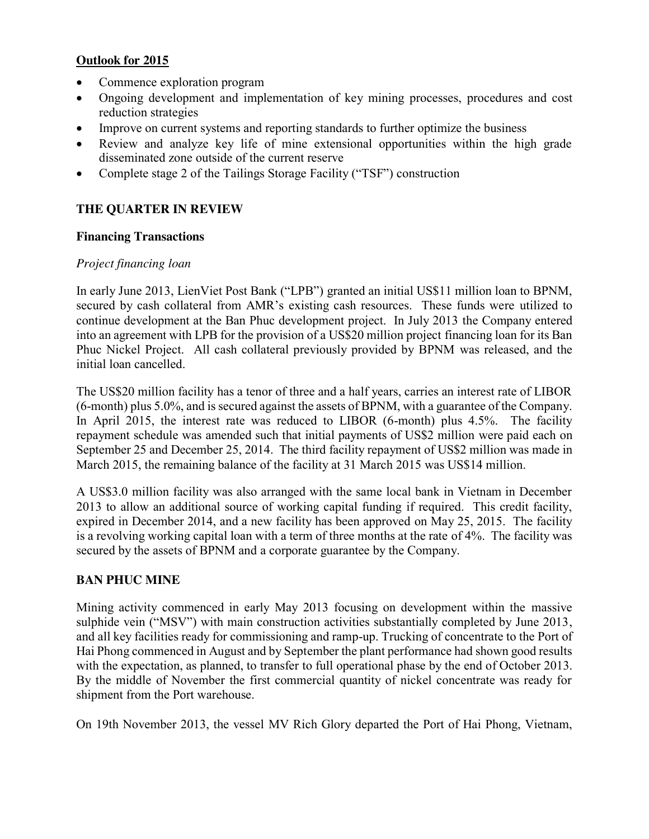### **Outlook for 2015**

- Commence exploration program
- Ongoing development and implementation of key mining processes, procedures and cost reduction strategies
- Improve on current systems and reporting standards to further optimize the business
- Review and analyze key life of mine extensional opportunities within the high grade disseminated zone outside of the current reserve
- Complete stage 2 of the Tailings Storage Facility ("TSF") construction

## **THE QUARTER IN REVIEW**

### **Financing Transactions**

### *Project financing loan*

In early June 2013, LienViet Post Bank ("LPB") granted an initial US\$11 million loan to BPNM, secured by cash collateral from AMR's existing cash resources. These funds were utilized to continue development at the Ban Phuc development project. In July 2013 the Company entered into an agreement with LPB for the provision of a US\$20 million project financing loan for its Ban Phuc Nickel Project. All cash collateral previously provided by BPNM was released, and the initial loan cancelled.

The US\$20 million facility has a tenor of three and a half years, carries an interest rate of LIBOR (6-month) plus 5.0%, and is secured against the assets of BPNM, with a guarantee of the Company. In April 2015, the interest rate was reduced to LIBOR (6-month) plus 4.5%. The facility repayment schedule was amended such that initial payments of US\$2 million were paid each on September 25 and December 25, 2014. The third facility repayment of US\$2 million was made in March 2015, the remaining balance of the facility at 31 March 2015 was US\$14 million.

A US\$3.0 million facility was also arranged with the same local bank in Vietnam in December 2013 to allow an additional source of working capital funding if required. This credit facility, expired in December 2014, and a new facility has been approved on May 25, 2015. The facility is a revolving working capital loan with a term of three months at the rate of 4%. The facility was secured by the assets of BPNM and a corporate guarantee by the Company.

## **BAN PHUC MINE**

Mining activity commenced in early May 2013 focusing on development within the massive sulphide vein ("MSV") with main construction activities substantially completed by June 2013, and all key facilities ready for commissioning and ramp-up. Trucking of concentrate to the Port of Hai Phong commenced in August and by September the plant performance had shown good results with the expectation, as planned, to transfer to full operational phase by the end of October 2013. By the middle of November the first commercial quantity of nickel concentrate was ready for shipment from the Port warehouse.

On 19th November 2013, the vessel MV Rich Glory departed the Port of Hai Phong, Vietnam,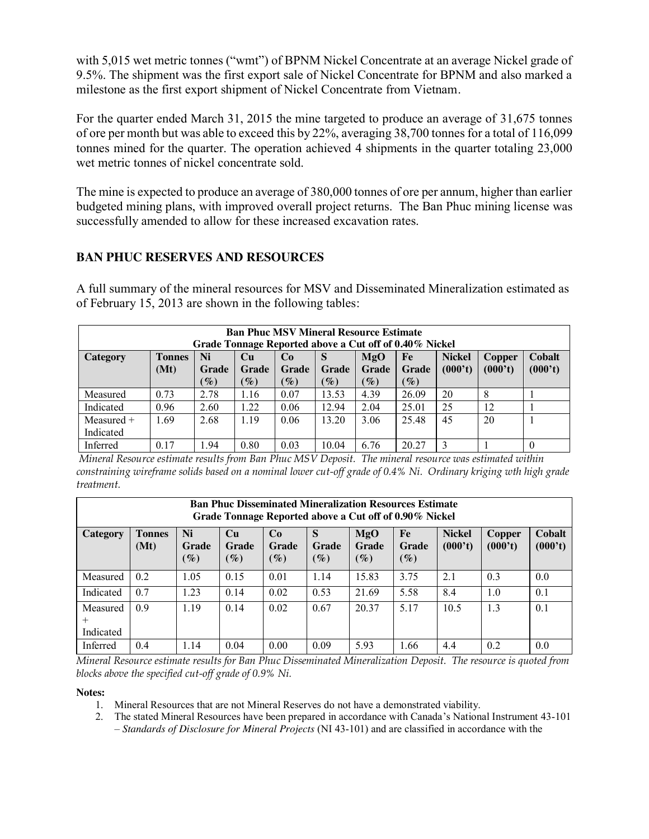with 5,015 wet metric tonnes ("wmt") of BPNM Nickel Concentrate at an average Nickel grade of 9.5%. The shipment was the first export sale of Nickel Concentrate for BPNM and also marked a milestone as the first export shipment of Nickel Concentrate from Vietnam.

For the quarter ended March 31, 2015 the mine targeted to produce an average of 31,675 tonnes of ore per month but was able to exceed this by 22%, averaging 38,700 tonnes for a total of 116,099 tonnes mined for the quarter. The operation achieved 4 shipments in the quarter totaling 23,000 wet metric tonnes of nickel concentrate sold.

The mine is expected to produce an average of 380,000 tonnes of ore per annum, higher than earlier budgeted mining plans, with improved overall project returns. The Ban Phuc mining license was successfully amended to allow for these increased excavation rates.

## **BAN PHUC RESERVES AND RESOURCES**

A full summary of the mineral resources for MSV and Disseminated Mineralization estimated as of February 15, 2013 are shown in the following tables:

| <b>Ban Phuc MSV Mineral Resource Estimate</b><br>Grade Tonnage Reported above a Cut off of 0.40% Nickel |                       |                                |                                |                                |                               |                      |                                |                          |                          |                          |
|---------------------------------------------------------------------------------------------------------|-----------------------|--------------------------------|--------------------------------|--------------------------------|-------------------------------|----------------------|--------------------------------|--------------------------|--------------------------|--------------------------|
| <b>Category</b>                                                                                         | <b>Tonnes</b><br>(Mt) | Ni<br>Grade<br>$\mathscr{G}_o$ | Cu<br>Grade<br>$\mathscr{G}_o$ | Co<br>Grade<br>$\mathscr{G}_o$ | S<br>Grade<br>$\mathscr{G}_0$ | MgO<br>Grade<br>$\%$ | Fe<br>Grade<br>$\mathcal{O}_0$ | <b>Nickel</b><br>(000't) | <b>Copper</b><br>(000't) | <b>Cobalt</b><br>(000't) |
| Measured                                                                                                | 0.73                  | 2.78                           | 1.16                           | 0.07                           | 13.53                         | 4.39                 | 26.09                          | 20                       | 8                        |                          |
| Indicated                                                                                               | 0.96                  | 2.60                           | 1.22                           | 0.06                           | 12.94                         | 2.04                 | 25.01                          | 25                       | 12                       |                          |
| Measured $+$<br>Indicated                                                                               | 1.69                  | 2.68                           | 1.19                           | 0.06                           | 13.20                         | 3.06                 | 25.48                          | 45                       | 20                       |                          |
| Inferred                                                                                                | 0.17                  | 1.94                           | 0.80                           | 0.03                           | 10.04                         | 6.76                 | 20.27                          |                          |                          |                          |

 *Mineral Resource estimate results from Ban Phuc MSV Deposit. The mineral resource was estimated within constraining wireframe solids based on a nominal lower cut-off grade of 0.4% Ni. Ordinary kriging wth high grade treatment.* 

| <b>Ban Phuc Disseminated Mineralization Resources Estimate</b><br>Grade Tonnage Reported above a Cut off of 0.90% Nickel |                       |                       |                       |                              |                      |                        |                       |                          |                          |                   |
|--------------------------------------------------------------------------------------------------------------------------|-----------------------|-----------------------|-----------------------|------------------------------|----------------------|------------------------|-----------------------|--------------------------|--------------------------|-------------------|
| <b>Category</b>                                                                                                          | <b>Tonnes</b><br>(Mt) | Ni<br>Grade<br>$(\%)$ | Cu<br>Grade<br>$(\%)$ | Co<br><b>Grade</b><br>$(\%)$ | S<br>Grade<br>$(\%)$ | MgO<br>Grade<br>$(\%)$ | Fe<br>Grade<br>$(\%)$ | <b>Nickel</b><br>(000't) | <b>Copper</b><br>(000't) | Cobalt<br>(000't) |
| Measured                                                                                                                 | 0.2                   | 1.05                  | 0.15                  | 0.01                         | 1.14                 | 15.83                  | 3.75                  | 2.1                      | 0.3                      | 0.0               |
| Indicated                                                                                                                | 0.7                   | 1.23                  | 0.14                  | 0.02                         | 0.53                 | 21.69                  | 5.58                  | 8.4                      | 1.0                      | 0.1               |
| Measured<br>Indicated                                                                                                    | 0.9                   | 1.19                  | 0.14                  | 0.02                         | 0.67                 | 20.37                  | 5.17                  | 10.5                     | 1.3                      | 0.1               |
| Inferred                                                                                                                 | 0.4                   | 1.14                  | 0.04                  | 0.00                         | 0.09                 | 5.93                   | 1.66                  | 4.4                      | 0.2                      | 0.0               |

*Mineral Resource estimate results for Ban Phuc Disseminated Mineralization Deposit. The resource is quoted from blocks above the specified cut-off grade of 0.9% Ni.* 

**Notes:** 

- 1. Mineral Resources that are not Mineral Reserves do not have a demonstrated viability.
- 2. The stated Mineral Resources have been prepared in accordance with Canada's National Instrument 43-101 – *Standards of Disclosure for Mineral Projects* (NI 43-101) and are classified in accordance with the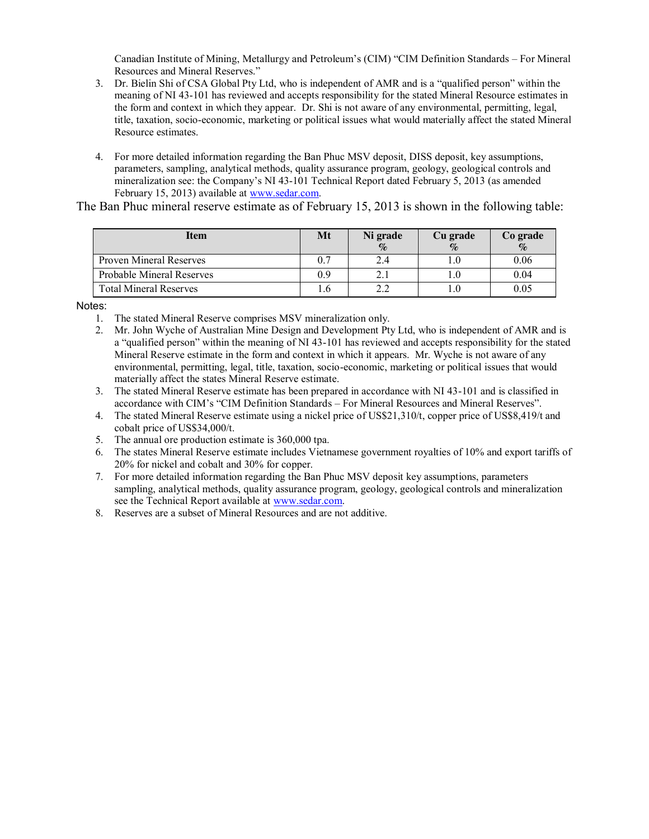Canadian Institute of Mining, Metallurgy and Petroleum's (CIM) "CIM Definition Standards – For Mineral Resources and Mineral Reserves."

- 3. Dr. Bielin Shi of CSA Global Pty Ltd, who is independent of AMR and is a "qualified person" within the meaning of NI 43-101 has reviewed and accepts responsibility for the stated Mineral Resource estimates in the form and context in which they appear. Dr. Shi is not aware of any environmental, permitting, legal, title, taxation, socio-economic, marketing or political issues what would materially affect the stated Mineral Resource estimates.
- 4. For more detailed information regarding the Ban Phuc MSV deposit, DISS deposit, key assumptions, parameters, sampling, analytical methods, quality assurance program, geology, geological controls and mineralization see: the Company's NI 43-101 Technical Report dated February 5, 2013 (as amended February 15, 2013) available at [www.sedar.com.](http://www.sedar.com/)

The Ban Phuc mineral reserve estimate as of February 15, 2013 is shown in the following table:

| <b>Item</b>                      | Mt             | Ni grade<br>$\%$ | Cu grade<br>$\%$ | Co grade<br>$\%$ |
|----------------------------------|----------------|------------------|------------------|------------------|
| <b>Proven Mineral Reserves</b>   |                |                  |                  | 0.06             |
| <b>Probable Mineral Reserves</b> | 09             |                  |                  | 0.04             |
| <b>Total Mineral Reserves</b>    | $\mathbf{0}$ . |                  |                  | 0.05             |

Notes:

- 1. The stated Mineral Reserve comprises MSV mineralization only.
- 2. Mr. John Wyche of Australian Mine Design and Development Pty Ltd, who is independent of AMR and is a "qualified person" within the meaning of NI 43-101 has reviewed and accepts responsibility for the stated Mineral Reserve estimate in the form and context in which it appears. Mr. Wyche is not aware of any environmental, permitting, legal, title, taxation, socio-economic, marketing or political issues that would materially affect the states Mineral Reserve estimate.
- 3. The stated Mineral Reserve estimate has been prepared in accordance with NI 43-101 and is classified in accordance with CIM's "CIM Definition Standards – For Mineral Resources and Mineral Reserves".
- 4. The stated Mineral Reserve estimate using a nickel price of US\$21,310/t, copper price of US\$8,419/t and cobalt price of US\$34,000/t.
- 5. The annual ore production estimate is 360,000 tpa.
- 6. The states Mineral Reserve estimate includes Vietnamese government royalties of 10% and export tariffs of 20% for nickel and cobalt and 30% for copper.
- 7. For more detailed information regarding the Ban Phuc MSV deposit key assumptions, parameters sampling, analytical methods, quality assurance program, geology, geological controls and mineralization see the Technical Report available at [www.sedar.com.](http://www.sedar.com/)
- 8. Reserves are a subset of Mineral Resources and are not additive.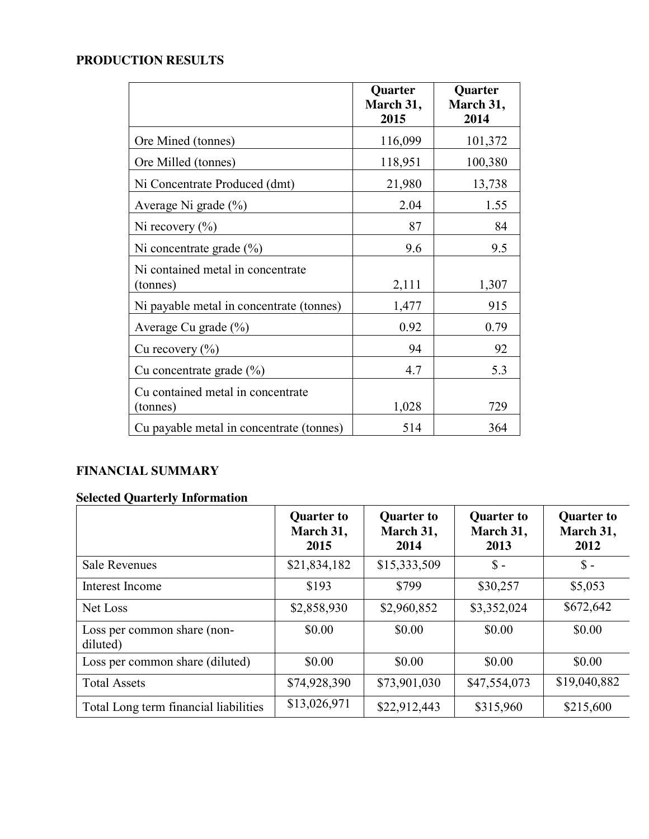# **PRODUCTION RESULTS**

|                                               | Quarter<br>March 31,<br>2015 | Quarter<br>March 31,<br>2014 |
|-----------------------------------------------|------------------------------|------------------------------|
| Ore Mined (tonnes)                            | 116,099                      | 101,372                      |
| Ore Milled (tonnes)                           | 118,951                      | 100,380                      |
| Ni Concentrate Produced (dmt)                 | 21,980                       | 13,738                       |
| Average Ni grade (%)                          | 2.04                         | 1.55                         |
| Ni recovery $(\% )$                           | 87                           | 84                           |
| Ni concentrate grade $(\% )$                  | 9.6                          | 9.5                          |
| Ni contained metal in concentrate<br>(tonnes) | 2,111                        | 1,307                        |
| Ni payable metal in concentrate (tonnes)      | 1,477                        | 915                          |
| Average Cu grade (%)                          | 0.92                         | 0.79                         |
| Cu recovery $(\% )$                           | 94                           | 92                           |
| Cu concentrate grade $(\% )$                  | 4.7                          | 5.3                          |
| Cu contained metal in concentrate<br>(tonnes) | 1,028                        | 729                          |
| Cu payable metal in concentrate (tonnes)      | 514                          | 364                          |

# **FINANCIAL SUMMARY**

# **Selected Quarterly Information**

|                                         | <b>Quarter to</b><br>March 31,<br>2015 | <b>Quarter to</b><br>March 31,<br>2014 | <b>Quarter to</b><br>March 31,<br>2013 | <b>Quarter to</b><br>March 31,<br>2012 |
|-----------------------------------------|----------------------------------------|----------------------------------------|----------------------------------------|----------------------------------------|
| <b>Sale Revenues</b>                    | \$21,834,182                           | \$15,333,509                           | $\mathbb{S}$ -                         | $\mathbb{S}$ -                         |
| Interest Income                         | \$193                                  | \$799                                  | \$30,257                               | \$5,053                                |
| Net Loss                                | \$2,858,930                            | \$2,960,852                            | \$3,352,024                            | \$672,642                              |
| Loss per common share (non-<br>diluted) | \$0.00                                 | \$0.00                                 | \$0.00                                 | \$0.00                                 |
| Loss per common share (diluted)         | \$0.00                                 | \$0.00                                 | \$0.00                                 | \$0.00                                 |
| <b>Total Assets</b>                     | \$74,928,390                           | \$73,901,030                           | \$47,554,073                           | \$19,040,882                           |
| Total Long term financial liabilities   | \$13,026,971                           | \$22,912,443                           | \$315,960                              | \$215,600                              |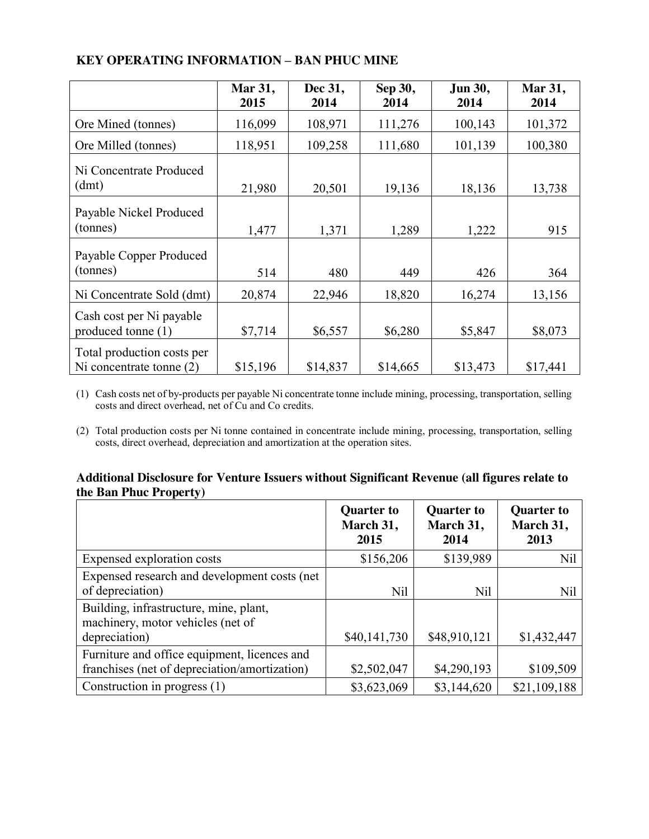|                                                          | <b>Mar 31,</b><br>2015 | Dec 31,<br>2014 | Sep 30,<br>2014 | <b>Jun 30,</b><br>2014 | Mar 31,<br>2014 |
|----------------------------------------------------------|------------------------|-----------------|-----------------|------------------------|-----------------|
| Ore Mined (tonnes)                                       | 116,099                | 108,971         | 111,276         | 100,143                | 101,372         |
| Ore Milled (tonnes)                                      | 118,951                | 109,258         | 111,680         | 101,139                | 100,380         |
| Ni Concentrate Produced<br>(dmt)                         | 21,980                 | 20,501          | 19,136          | 18,136                 | 13,738          |
| Payable Nickel Produced<br>(tonnes)                      | 1,477                  | 1,371           | 1,289           | 1,222                  | 915             |
| Payable Copper Produced<br>(tonnes)                      | 514                    | 480             | 449             | 426                    | 364             |
| Ni Concentrate Sold (dmt)                                | 20,874                 | 22,946          | 18,820          | 16,274                 | 13,156          |
| Cash cost per Ni payable<br>produced tonne (1)           | \$7,714                | \$6,557         | \$6,280         | \$5,847                | \$8,073         |
| Total production costs per<br>Ni concentrate tonne $(2)$ | \$15,196               | \$14,837        | \$14,665        | \$13,473               | \$17,441        |

#### **KEY OPERATING INFORMATION – BAN PHUC MINE**

(1) Cash costs net of by-products per payable Ni concentrate tonne include mining, processing, transportation, selling costs and direct overhead, net of Cu and Co credits.

(2) Total production costs per Ni tonne contained in concentrate include mining, processing, transportation, selling costs, direct overhead, depreciation and amortization at the operation sites.

## **Additional Disclosure for Venture Issuers without Significant Revenue (all figures relate to the Ban Phuc Property)**

|                                                                                              | <b>Quarter to</b><br>March 31,<br>2015 | <b>Quarter to</b><br>March 31,<br>2014 | <b>Quarter to</b><br>March 31,<br>2013 |
|----------------------------------------------------------------------------------------------|----------------------------------------|----------------------------------------|----------------------------------------|
| Expensed exploration costs                                                                   | \$156,206                              | \$139,989                              | Nil                                    |
| Expensed research and development costs (net)<br>of depreciation)                            | N <sub>il</sub>                        | N <sub>il</sub>                        | Nil                                    |
| Building, infrastructure, mine, plant,<br>machinery, motor vehicles (net of<br>depreciation) | \$40,141,730                           | \$48,910,121                           | \$1,432,447                            |
| Furniture and office equipment, licences and                                                 |                                        |                                        |                                        |
| franchises (net of depreciation/amortization)                                                | \$2,502,047                            | \$4,290,193                            | \$109,509                              |
| Construction in progress (1)                                                                 | \$3,623,069                            | \$3,144,620                            | \$21,109,188                           |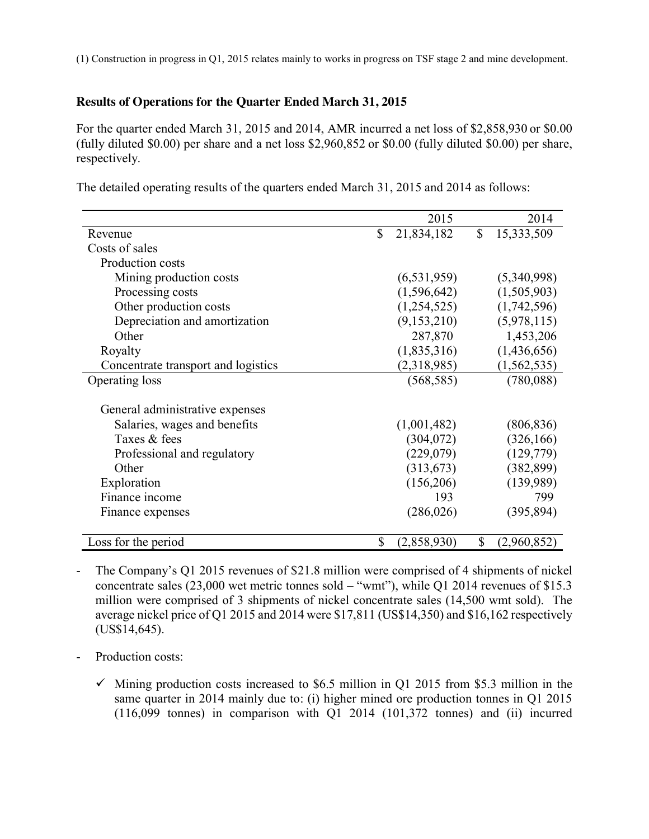(1) Construction in progress in Q1, 2015 relates mainly to works in progress on TSF stage 2 and mine development.

### **Results of Operations for the Quarter Ended March 31, 2015**

For the quarter ended March 31, 2015 and 2014, AMR incurred a net loss of \$2,858,930 or \$0.00 (fully diluted \$0.00) per share and a net loss \$2,960,852 or \$0.00 (fully diluted \$0.00) per share, respectively.

The detailed operating results of the quarters ended March 31, 2015 and 2014 as follows:

|                                     | 2015              | 2014              |
|-------------------------------------|-------------------|-------------------|
| Revenue                             | \$<br>21,834,182  | \$<br>15,333,509  |
| Costs of sales                      |                   |                   |
| Production costs                    |                   |                   |
| Mining production costs             | (6, 531, 959)     | (5,340,998)       |
| Processing costs                    | (1,596,642)       | (1,505,903)       |
| Other production costs              | (1,254,525)       | (1,742,596)       |
| Depreciation and amortization       | (9,153,210)       | (5,978,115)       |
| Other                               | 287,870           | 1,453,206         |
| Royalty                             | (1,835,316)       | (1,436,656)       |
| Concentrate transport and logistics | (2,318,985)       | (1, 562, 535)     |
| Operating loss                      | (568, 585)        | (780, 088)        |
| General administrative expenses     |                   |                   |
| Salaries, wages and benefits        | (1,001,482)       | (806, 836)        |
| Taxes & fees                        | (304, 072)        | (326, 166)        |
| Professional and regulatory         | (229,079)         | (129,779)         |
| Other                               | (313, 673)        | (382, 899)        |
| Exploration                         | (156,206)         | (139,989)         |
| Finance income                      | 193               | 799               |
| Finance expenses                    | (286, 026)        | (395, 894)        |
|                                     |                   |                   |
| Loss for the period                 | \$<br>(2,858,930) | \$<br>(2,960,852) |

- The Company's Q1 2015 revenues of \$21.8 million were comprised of 4 shipments of nickel concentrate sales (23,000 wet metric tonnes sold – "wmt"), while Q1 2014 revenues of \$15.3 million were comprised of 3 shipments of nickel concentrate sales (14,500 wmt sold). The average nickel price of Q1 2015 and 2014 were \$17,811 (US\$14,350) and \$16,162 respectively (US\$14,645).

- Production costs:
	- $\checkmark$  Mining production costs increased to \$6.5 million in Q1 2015 from \$5.3 million in the same quarter in 2014 mainly due to: (i) higher mined ore production tonnes in Q1 2015 (116,099 tonnes) in comparison with  $Q1$  2014 (101,372 tonnes) and (ii) incurred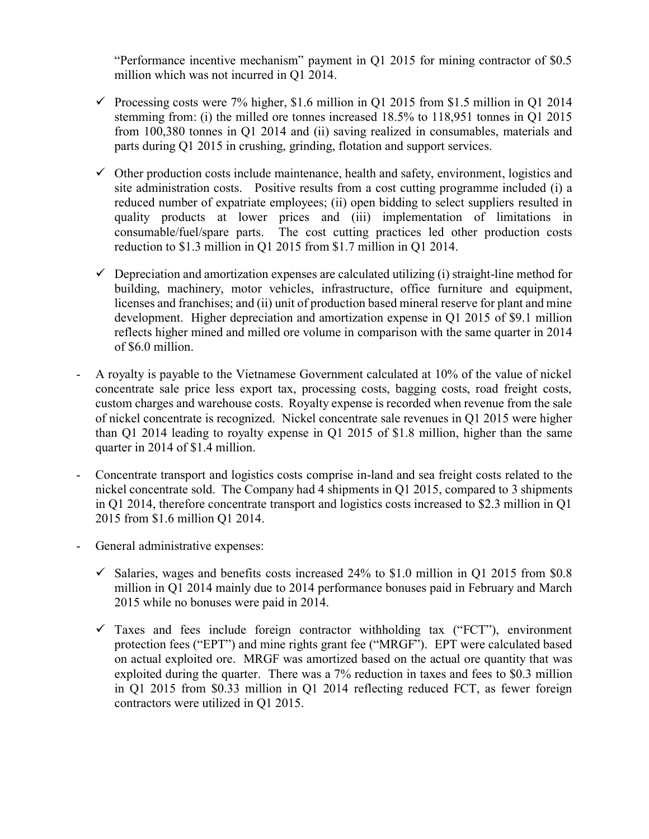"Performance incentive mechanism" payment in Q1 2015 for mining contractor of \$0.5 million which was not incurred in Q1 2014.

- Processing costs were 7% higher, \$1.6 million in Q1 2015 from \$1.5 million in Q1 2014 stemming from: (i) the milled ore tonnes increased 18.5% to 118,951 tonnes in Q1 2015 from 100,380 tonnes in Q1 2014 and (ii) saving realized in consumables, materials and parts during Q1 2015 in crushing, grinding, flotation and support services.
- $\checkmark$  Other production costs include maintenance, health and safety, environment, logistics and site administration costs. Positive results from a cost cutting programme included (i) a reduced number of expatriate employees; (ii) open bidding to select suppliers resulted in quality products at lower prices and (iii) implementation of limitations in consumable/fuel/spare parts. The cost cutting practices led other production costs reduction to \$1.3 million in Q1 2015 from \$1.7 million in Q1 2014.
- $\checkmark$  Depreciation and amortization expenses are calculated utilizing (i) straight-line method for building, machinery, motor vehicles, infrastructure, office furniture and equipment, licenses and franchises; and (ii) unit of production based mineral reserve for plant and mine development. Higher depreciation and amortization expense in Q1 2015 of \$9.1 million reflects higher mined and milled ore volume in comparison with the same quarter in 2014 of \$6.0 million.
- A royalty is payable to the Vietnamese Government calculated at 10% of the value of nickel concentrate sale price less export tax, processing costs, bagging costs, road freight costs, custom charges and warehouse costs. Royalty expense is recorded when revenue from the sale of nickel concentrate is recognized. Nickel concentrate sale revenues in Q1 2015 were higher than Q1 2014 leading to royalty expense in Q1 2015 of \$1.8 million, higher than the same quarter in 2014 of \$1.4 million.
- Concentrate transport and logistics costs comprise in-land and sea freight costs related to the nickel concentrate sold. The Company had 4 shipments in Q1 2015, compared to 3 shipments in Q1 2014, therefore concentrate transport and logistics costs increased to \$2.3 million in Q1 2015 from \$1.6 million Q1 2014.
- General administrative expenses:
	- $\checkmark$  Salaries, wages and benefits costs increased 24% to \$1.0 million in Q1 2015 from \$0.8 million in Q1 2014 mainly due to 2014 performance bonuses paid in February and March 2015 while no bonuses were paid in 2014.
	- $\checkmark$  Taxes and fees include foreign contractor withholding tax ("FCT"), environment protection fees ("EPT") and mine rights grant fee ("MRGF"). EPT were calculated based on actual exploited ore. MRGF was amortized based on the actual ore quantity that was exploited during the quarter. There was a 7% reduction in taxes and fees to \$0.3 million in Q1 2015 from \$0.33 million in Q1 2014 reflecting reduced FCT, as fewer foreign contractors were utilized in Q1 2015.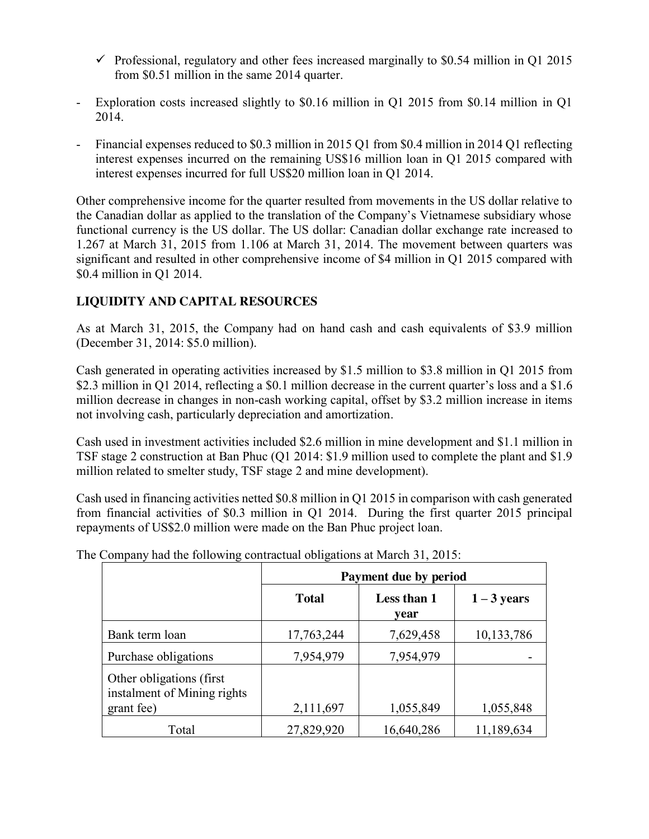- $\checkmark$  Professional, regulatory and other fees increased marginally to \$0.54 million in Q1 2015 from \$0.51 million in the same 2014 quarter.
- Exploration costs increased slightly to \$0.16 million in Q1 2015 from \$0.14 million in Q1 2014.
- Financial expenses reduced to \$0.3 million in 2015 Q1 from \$0.4 million in 2014 Q1 reflecting interest expenses incurred on the remaining US\$16 million loan in Q1 2015 compared with interest expenses incurred for full US\$20 million loan in Q1 2014.

Other comprehensive income for the quarter resulted from movements in the US dollar relative to the Canadian dollar as applied to the translation of the Company's Vietnamese subsidiary whose functional currency is the US dollar. The US dollar: Canadian dollar exchange rate increased to 1.267 at March 31, 2015 from 1.106 at March 31, 2014. The movement between quarters was significant and resulted in other comprehensive income of \$4 million in Q1 2015 compared with \$0.4 million in Q1 2014.

## **LIQUIDITY AND CAPITAL RESOURCES**

As at March 31, 2015, the Company had on hand cash and cash equivalents of \$3.9 million (December 31, 2014: \$5.0 million).

Cash generated in operating activities increased by \$1.5 million to \$3.8 million in Q1 2015 from \$2.3 million in Q1 2014, reflecting a \$0.1 million decrease in the current quarter's loss and a \$1.6 million decrease in changes in non-cash working capital, offset by \$3.2 million increase in items not involving cash, particularly depreciation and amortization.

Cash used in investment activities included \$2.6 million in mine development and \$1.1 million in TSF stage 2 construction at Ban Phuc (Q1 2014: \$1.9 million used to complete the plant and \$1.9 million related to smelter study, TSF stage 2 and mine development).

Cash used in financing activities netted \$0.8 million in Q1 2015 in comparison with cash generated from financial activities of \$0.3 million in Q1 2014. During the first quarter 2015 principal repayments of US\$2.0 million were made on the Ban Phuc project loan.

|                                                                        | Payment due by period |                     |               |  |  |  |
|------------------------------------------------------------------------|-----------------------|---------------------|---------------|--|--|--|
|                                                                        | <b>Total</b>          | Less than 1<br>vear | $1 - 3$ years |  |  |  |
| Bank term loan                                                         | 17,763,244            | 7,629,458           | 10, 133, 786  |  |  |  |
| Purchase obligations                                                   | 7,954,979             | 7,954,979           |               |  |  |  |
| Other obligations (first)<br>instalment of Mining rights<br>grant fee) | 2,111,697             | 1,055,849           | 1,055,848     |  |  |  |
| Total                                                                  | 27,829,920            | 16,640,286          | 11,189,634    |  |  |  |

The Company had the following contractual obligations at March 31, 2015: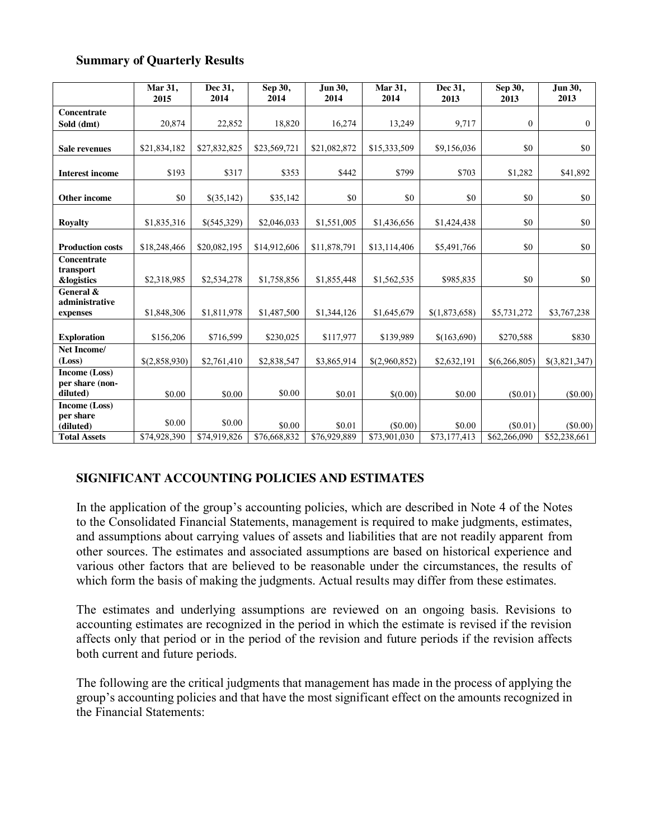|                                                           | Mar 31,<br>2015 | Dec 31,<br>2014 | Sep 30,<br>2014 | Jun 30,<br>2014 | Mar 31,<br>2014 | Dec 31,<br>2013 | Sep 30,<br>2013 | Jun 30,<br>2013 |
|-----------------------------------------------------------|-----------------|-----------------|-----------------|-----------------|-----------------|-----------------|-----------------|-----------------|
| Concentrate                                               |                 |                 |                 |                 |                 |                 |                 |                 |
| Sold (dmt)                                                | 20,874          | 22,852          | 18,820          | 16,274          | 13,249          | 9,717           | $\mathbf{0}$    | $\overline{0}$  |
|                                                           |                 |                 |                 |                 |                 |                 |                 |                 |
| <b>Sale revenues</b>                                      | \$21,834,182    | \$27,832,825    | \$23,569,721    | \$21,082,872    | \$15,333,509    | \$9,156,036     | \$0             | \$0             |
|                                                           |                 |                 |                 |                 |                 |                 |                 |                 |
| <b>Interest income</b>                                    | \$193           | \$317           | \$353           | \$442           | \$799           | \$703           | \$1,282         | \$41,892        |
| <b>Other income</b>                                       | \$0             | \$(35,142)      | \$35,142        | \$0             | \$0             | \$0             | \$0             | \$0             |
| <b>Royalty</b>                                            | \$1,835,316     | \$(545,329)     | \$2,046,033     | \$1,551,005     | \$1,436,656     | \$1,424,438     | \$0             | \$0             |
|                                                           |                 |                 |                 |                 |                 |                 |                 |                 |
| <b>Production costs</b>                                   | \$18,248,466    | \$20,082,195    | \$14,912,606    | \$11,878,791    | \$13,114,406    | \$5,491,766     | \$0             | \$0             |
| <b>Concentrate</b>                                        |                 |                 |                 |                 |                 |                 |                 |                 |
| transport                                                 | \$2,318,985     | \$2,534,278     | \$1,758,856     | \$1,855,448     | \$1,562,535     | \$985,835       | \$0             | \$0             |
| <b>&amp;logistics</b><br>General $\overline{\mathcal{X}}$ |                 |                 |                 |                 |                 |                 |                 |                 |
| administrative                                            |                 |                 |                 |                 |                 |                 |                 |                 |
| expenses                                                  | \$1,848,306     | \$1,811,978     | \$1,487,500     | \$1,344,126     | \$1,645,679     | \$(1,873,658)   | \$5,731,272     | \$3,767,238     |
|                                                           |                 |                 |                 |                 |                 |                 |                 |                 |
| <b>Exploration</b>                                        | \$156,206       | \$716,599       | \$230,025       | \$117,977       | \$139,989       | \$(163,690)     | \$270,588       | \$830           |
| Net Income/                                               |                 |                 |                 |                 |                 |                 |                 |                 |
| (Loss)                                                    | \$(2,858,930)   | \$2,761,410     | \$2,838,547     | \$3,865,914     | \$(2,960,852)   | \$2,632,191     | \$(6, 266, 805) | \$(3,821,347)   |
| Income (Loss)                                             |                 |                 |                 |                 |                 |                 |                 |                 |
| per share (non-<br>diluted)                               | \$0.00          | \$0.00          | \$0.00          | \$0.01          | \$(0.00)        | \$0.00          | $(\$0.01)$      | $(\$0.00)$      |
| Income (Loss)                                             |                 |                 |                 |                 |                 |                 |                 |                 |
| per share                                                 |                 |                 |                 |                 |                 |                 |                 |                 |
| (diluted)                                                 | \$0.00          | \$0.00          | \$0.00          | \$0.01          | (S0.00)         | \$0.00          | (S0.01)         | $(\$0.00)$      |
| <b>Total Assets</b>                                       | \$74,928,390    | \$74,919,826    | \$76,668,832    | \$76,929,889    | \$73,901,030    | \$73,177,413    | \$62,266,090    | \$52,238,661    |

### **Summary of Quarterly Results**

## **SIGNIFICANT ACCOUNTING POLICIES AND ESTIMATES**

In the application of the group's accounting policies, which are described in Note 4 of the Notes to the Consolidated Financial Statements, management is required to make judgments, estimates, and assumptions about carrying values of assets and liabilities that are not readily apparent from other sources. The estimates and associated assumptions are based on historical experience and various other factors that are believed to be reasonable under the circumstances, the results of which form the basis of making the judgments. Actual results may differ from these estimates.

The estimates and underlying assumptions are reviewed on an ongoing basis. Revisions to accounting estimates are recognized in the period in which the estimate is revised if the revision affects only that period or in the period of the revision and future periods if the revision affects both current and future periods.

The following are the critical judgments that management has made in the process of applying the group's accounting policies and that have the most significant effect on the amounts recognized in the Financial Statements: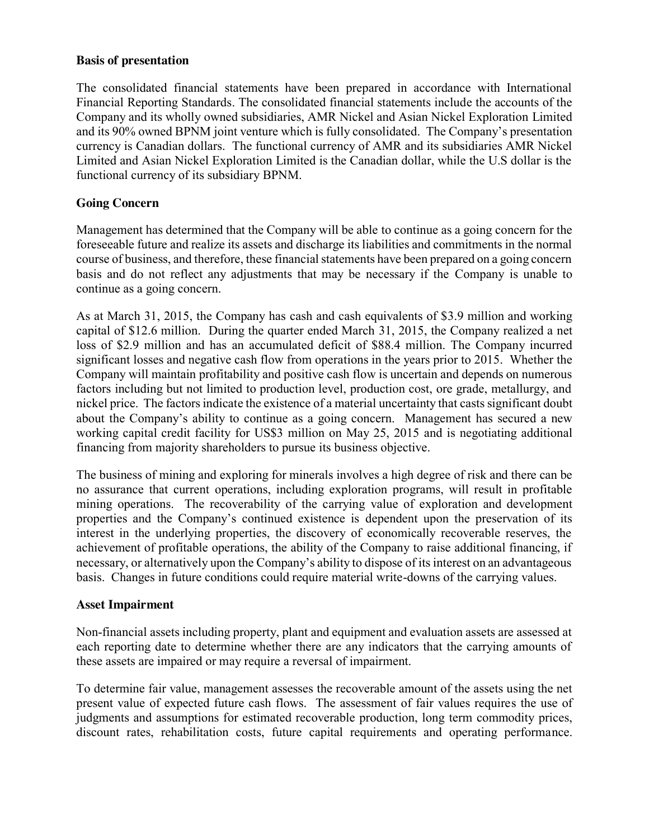#### **Basis of presentation**

The consolidated financial statements have been prepared in accordance with International Financial Reporting Standards. The consolidated financial statements include the accounts of the Company and its wholly owned subsidiaries, AMR Nickel and Asian Nickel Exploration Limited and its 90% owned BPNM joint venture which is fully consolidated. The Company's presentation currency is Canadian dollars. The functional currency of AMR and its subsidiaries AMR Nickel Limited and Asian Nickel Exploration Limited is the Canadian dollar, while the U.S dollar is the functional currency of its subsidiary BPNM.

#### **Going Concern**

Management has determined that the Company will be able to continue as a going concern for the foreseeable future and realize its assets and discharge its liabilities and commitments in the normal course of business, and therefore, these financial statements have been prepared on a going concern basis and do not reflect any adjustments that may be necessary if the Company is unable to continue as a going concern.

As at March 31, 2015, the Company has cash and cash equivalents of \$3.9 million and working capital of \$12.6 million. During the quarter ended March 31, 2015, the Company realized a net loss of \$2.9 million and has an accumulated deficit of \$88.4 million. The Company incurred significant losses and negative cash flow from operations in the years prior to 2015. Whether the Company will maintain profitability and positive cash flow is uncertain and depends on numerous factors including but not limited to production level, production cost, ore grade, metallurgy, and nickel price. The factors indicate the existence of a material uncertainty that casts significant doubt about the Company's ability to continue as a going concern. Management has secured a new working capital credit facility for US\$3 million on May 25, 2015 and is negotiating additional financing from majority shareholders to pursue its business objective.

The business of mining and exploring for minerals involves a high degree of risk and there can be no assurance that current operations, including exploration programs, will result in profitable mining operations. The recoverability of the carrying value of exploration and development properties and the Company's continued existence is dependent upon the preservation of its interest in the underlying properties, the discovery of economically recoverable reserves, the achievement of profitable operations, the ability of the Company to raise additional financing, if necessary, or alternatively upon the Company's ability to dispose of its interest on an advantageous basis. Changes in future conditions could require material write-downs of the carrying values.

#### **Asset Impairment**

Non-financial assets including property, plant and equipment and evaluation assets are assessed at each reporting date to determine whether there are any indicators that the carrying amounts of these assets are impaired or may require a reversal of impairment.

To determine fair value, management assesses the recoverable amount of the assets using the net present value of expected future cash flows. The assessment of fair values requires the use of judgments and assumptions for estimated recoverable production, long term commodity prices, discount rates, rehabilitation costs, future capital requirements and operating performance.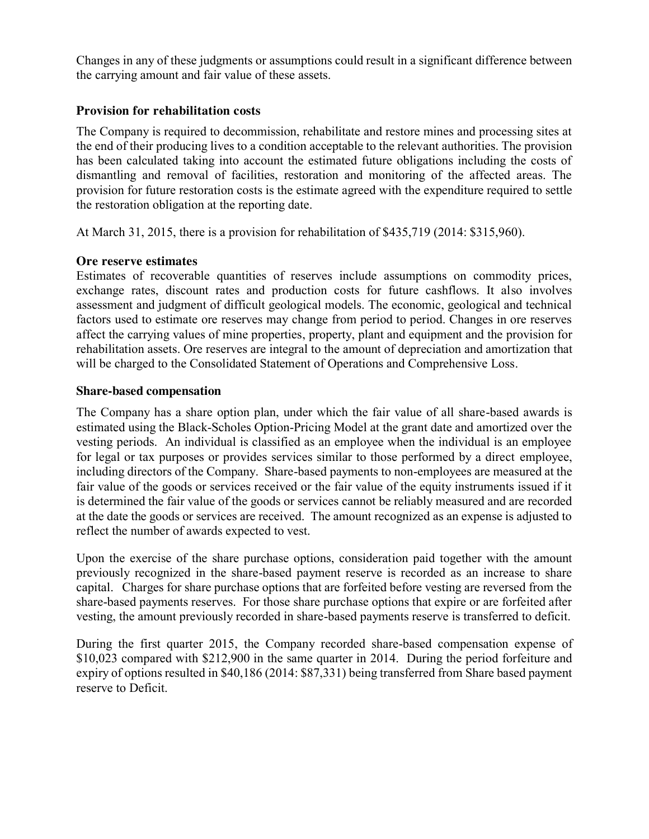Changes in any of these judgments or assumptions could result in a significant difference between the carrying amount and fair value of these assets.

### **Provision for rehabilitation costs**

The Company is required to decommission, rehabilitate and restore mines and processing sites at the end of their producing lives to a condition acceptable to the relevant authorities. The provision has been calculated taking into account the estimated future obligations including the costs of dismantling and removal of facilities, restoration and monitoring of the affected areas. The provision for future restoration costs is the estimate agreed with the expenditure required to settle the restoration obligation at the reporting date.

At March 31, 2015, there is a provision for rehabilitation of \$435,719 (2014: \$315,960).

### **Ore reserve estimates**

Estimates of recoverable quantities of reserves include assumptions on commodity prices, exchange rates, discount rates and production costs for future cashflows. It also involves assessment and judgment of difficult geological models. The economic, geological and technical factors used to estimate ore reserves may change from period to period. Changes in ore reserves affect the carrying values of mine properties, property, plant and equipment and the provision for rehabilitation assets. Ore reserves are integral to the amount of depreciation and amortization that will be charged to the Consolidated Statement of Operations and Comprehensive Loss.

### **Share-based compensation**

The Company has a share option plan, under which the fair value of all share-based awards is estimated using the Black-Scholes Option-Pricing Model at the grant date and amortized over the vesting periods. An individual is classified as an employee when the individual is an employee for legal or tax purposes or provides services similar to those performed by a direct employee, including directors of the Company. Share-based payments to non-employees are measured at the fair value of the goods or services received or the fair value of the equity instruments issued if it is determined the fair value of the goods or services cannot be reliably measured and are recorded at the date the goods or services are received. The amount recognized as an expense is adjusted to reflect the number of awards expected to vest.

Upon the exercise of the share purchase options, consideration paid together with the amount previously recognized in the share-based payment reserve is recorded as an increase to share capital. Charges for share purchase options that are forfeited before vesting are reversed from the share-based payments reserves. For those share purchase options that expire or are forfeited after vesting, the amount previously recorded in share-based payments reserve is transferred to deficit.

During the first quarter 2015, the Company recorded share-based compensation expense of \$10,023 compared with \$212,900 in the same quarter in 2014. During the period forfeiture and expiry of options resulted in \$40,186 (2014: \$87,331) being transferred from Share based payment reserve to Deficit.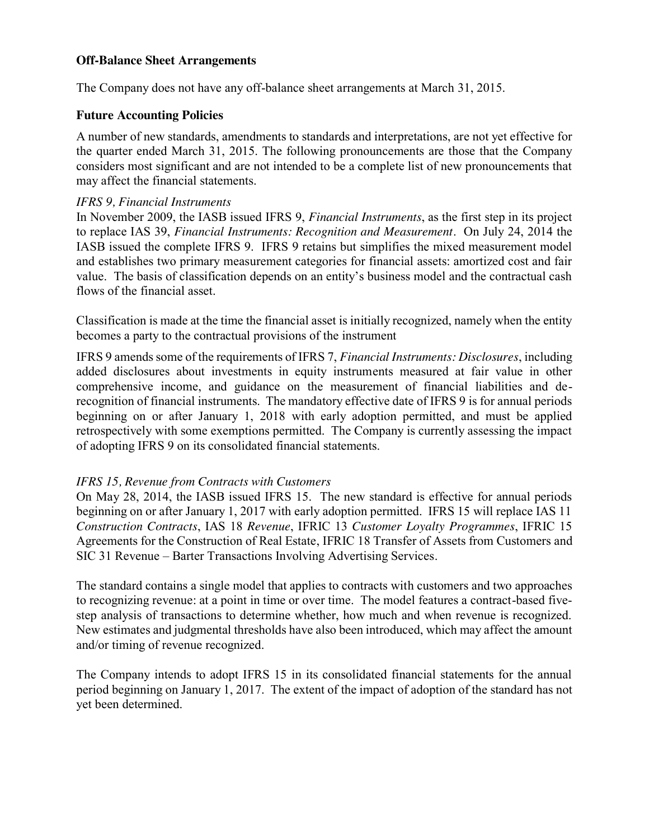#### **Off-Balance Sheet Arrangements**

The Company does not have any off-balance sheet arrangements at March 31, 2015.

#### **Future Accounting Policies**

A number of new standards, amendments to standards and interpretations, are not yet effective for the quarter ended March 31, 2015. The following pronouncements are those that the Company considers most significant and are not intended to be a complete list of new pronouncements that may affect the financial statements.

#### *IFRS 9, Financial Instruments*

In November 2009, the IASB issued IFRS 9, *Financial Instruments*, as the first step in its project to replace IAS 39, *Financial Instruments: Recognition and Measurement*. On July 24, 2014 the IASB issued the complete IFRS 9. IFRS 9 retains but simplifies the mixed measurement model and establishes two primary measurement categories for financial assets: amortized cost and fair value. The basis of classification depends on an entity's business model and the contractual cash flows of the financial asset.

Classification is made at the time the financial asset is initially recognized, namely when the entity becomes a party to the contractual provisions of the instrument

IFRS 9 amends some of the requirements of IFRS 7, *Financial Instruments: Disclosures*, including added disclosures about investments in equity instruments measured at fair value in other comprehensive income, and guidance on the measurement of financial liabilities and derecognition of financial instruments. The mandatory effective date of IFRS 9 is for annual periods beginning on or after January 1, 2018 with early adoption permitted, and must be applied retrospectively with some exemptions permitted. The Company is currently assessing the impact of adopting IFRS 9 on its consolidated financial statements.

#### *IFRS 15, Revenue from Contracts with Customers*

On May 28, 2014, the IASB issued IFRS 15. The new standard is effective for annual periods beginning on or after January 1, 2017 with early adoption permitted. IFRS 15 will replace IAS 11 *Construction Contracts*, IAS 18 *Revenue*, IFRIC 13 *Customer Loyalty Programmes*, IFRIC 15 Agreements for the Construction of Real Estate, IFRIC 18 Transfer of Assets from Customers and SIC 31 Revenue – Barter Transactions Involving Advertising Services.

The standard contains a single model that applies to contracts with customers and two approaches to recognizing revenue: at a point in time or over time. The model features a contract-based fivestep analysis of transactions to determine whether, how much and when revenue is recognized. New estimates and judgmental thresholds have also been introduced, which may affect the amount and/or timing of revenue recognized.

The Company intends to adopt IFRS 15 in its consolidated financial statements for the annual period beginning on January 1, 2017. The extent of the impact of adoption of the standard has not yet been determined.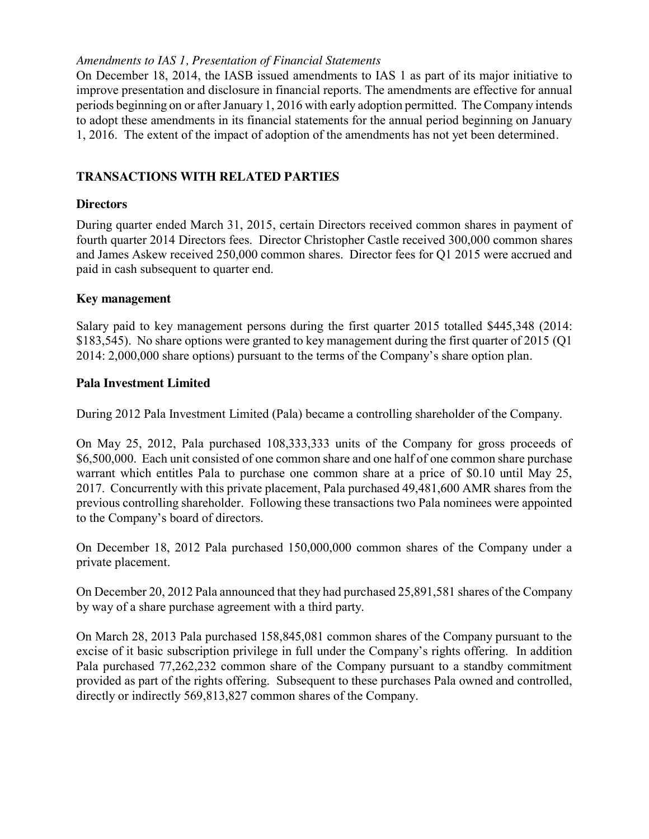### *Amendments to IAS 1, Presentation of Financial Statements*

On December 18, 2014, the IASB issued amendments to IAS 1 as part of its major initiative to improve presentation and disclosure in financial reports. The amendments are effective for annual periods beginning on or after January 1, 2016 with early adoption permitted. The Company intends to adopt these amendments in its financial statements for the annual period beginning on January 1, 2016. The extent of the impact of adoption of the amendments has not yet been determined.

## **TRANSACTIONS WITH RELATED PARTIES**

## **Directors**

During quarter ended March 31, 2015, certain Directors received common shares in payment of fourth quarter 2014 Directors fees. Director Christopher Castle received 300,000 common shares and James Askew received 250,000 common shares. Director fees for Q1 2015 were accrued and paid in cash subsequent to quarter end.

## **Key management**

Salary paid to key management persons during the first quarter 2015 totalled \$445,348 (2014: \$183,545). No share options were granted to key management during the first quarter of 2015 (Q1 2014: 2,000,000 share options) pursuant to the terms of the Company's share option plan.

### **Pala Investment Limited**

During 2012 Pala Investment Limited (Pala) became a controlling shareholder of the Company.

On May 25, 2012, Pala purchased 108,333,333 units of the Company for gross proceeds of \$6,500,000. Each unit consisted of one common share and one half of one common share purchase warrant which entitles Pala to purchase one common share at a price of \$0.10 until May 25, 2017. Concurrently with this private placement, Pala purchased 49,481,600 AMR shares from the previous controlling shareholder. Following these transactions two Pala nominees were appointed to the Company's board of directors.

On December 18, 2012 Pala purchased 150,000,000 common shares of the Company under a private placement.

On December 20, 2012 Pala announced that they had purchased 25,891,581 shares of the Company by way of a share purchase agreement with a third party.

On March 28, 2013 Pala purchased 158,845,081 common shares of the Company pursuant to the excise of it basic subscription privilege in full under the Company's rights offering. In addition Pala purchased 77,262,232 common share of the Company pursuant to a standby commitment provided as part of the rights offering. Subsequent to these purchases Pala owned and controlled, directly or indirectly 569,813,827 common shares of the Company.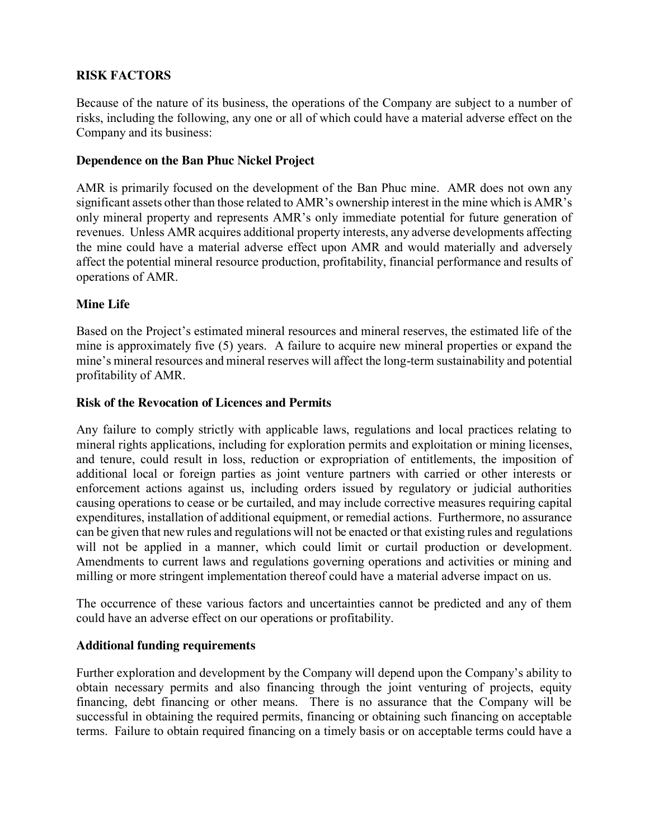## **RISK FACTORS**

Because of the nature of its business, the operations of the Company are subject to a number of risks, including the following, any one or all of which could have a material adverse effect on the Company and its business:

### **Dependence on the Ban Phuc Nickel Project**

AMR is primarily focused on the development of the Ban Phuc mine. AMR does not own any significant assets other than those related to AMR's ownership interest in the mine which is AMR's only mineral property and represents AMR's only immediate potential for future generation of revenues. Unless AMR acquires additional property interests, any adverse developments affecting the mine could have a material adverse effect upon AMR and would materially and adversely affect the potential mineral resource production, profitability, financial performance and results of operations of AMR.

### **Mine Life**

Based on the Project's estimated mineral resources and mineral reserves, the estimated life of the mine is approximately five (5) years. A failure to acquire new mineral properties or expand the mine's mineral resources and mineral reserves will affect the long-term sustainability and potential profitability of AMR.

#### **Risk of the Revocation of Licences and Permits**

Any failure to comply strictly with applicable laws, regulations and local practices relating to mineral rights applications, including for exploration permits and exploitation or mining licenses, and tenure, could result in loss, reduction or expropriation of entitlements, the imposition of additional local or foreign parties as joint venture partners with carried or other interests or enforcement actions against us, including orders issued by regulatory or judicial authorities causing operations to cease or be curtailed, and may include corrective measures requiring capital expenditures, installation of additional equipment, or remedial actions. Furthermore, no assurance can be given that new rules and regulations will not be enacted or that existing rules and regulations will not be applied in a manner, which could limit or curtail production or development. Amendments to current laws and regulations governing operations and activities or mining and milling or more stringent implementation thereof could have a material adverse impact on us.

The occurrence of these various factors and uncertainties cannot be predicted and any of them could have an adverse effect on our operations or profitability.

#### **Additional funding requirements**

Further exploration and development by the Company will depend upon the Company's ability to obtain necessary permits and also financing through the joint venturing of projects, equity financing, debt financing or other means. There is no assurance that the Company will be successful in obtaining the required permits, financing or obtaining such financing on acceptable terms. Failure to obtain required financing on a timely basis or on acceptable terms could have a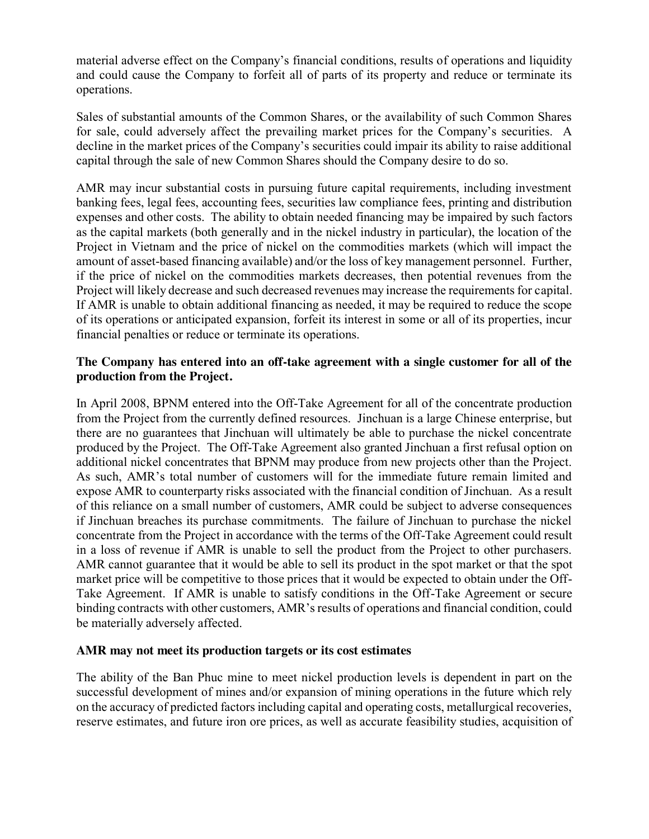material adverse effect on the Company's financial conditions, results of operations and liquidity and could cause the Company to forfeit all of parts of its property and reduce or terminate its operations.

Sales of substantial amounts of the Common Shares, or the availability of such Common Shares for sale, could adversely affect the prevailing market prices for the Company's securities. A decline in the market prices of the Company's securities could impair its ability to raise additional capital through the sale of new Common Shares should the Company desire to do so.

AMR may incur substantial costs in pursuing future capital requirements, including investment banking fees, legal fees, accounting fees, securities law compliance fees, printing and distribution expenses and other costs. The ability to obtain needed financing may be impaired by such factors as the capital markets (both generally and in the nickel industry in particular), the location of the Project in Vietnam and the price of nickel on the commodities markets (which will impact the amount of asset-based financing available) and/or the loss of key management personnel. Further, if the price of nickel on the commodities markets decreases, then potential revenues from the Project will likely decrease and such decreased revenues may increase the requirements for capital. If AMR is unable to obtain additional financing as needed, it may be required to reduce the scope of its operations or anticipated expansion, forfeit its interest in some or all of its properties, incur financial penalties or reduce or terminate its operations.

#### **The Company has entered into an off-take agreement with a single customer for all of the production from the Project.**

In April 2008, BPNM entered into the Off-Take Agreement for all of the concentrate production from the Project from the currently defined resources. Jinchuan is a large Chinese enterprise, but there are no guarantees that Jinchuan will ultimately be able to purchase the nickel concentrate produced by the Project. The Off-Take Agreement also granted Jinchuan a first refusal option on additional nickel concentrates that BPNM may produce from new projects other than the Project. As such, AMR's total number of customers will for the immediate future remain limited and expose AMR to counterparty risks associated with the financial condition of Jinchuan. As a result of this reliance on a small number of customers, AMR could be subject to adverse consequences if Jinchuan breaches its purchase commitments. The failure of Jinchuan to purchase the nickel concentrate from the Project in accordance with the terms of the Off-Take Agreement could result in a loss of revenue if AMR is unable to sell the product from the Project to other purchasers. AMR cannot guarantee that it would be able to sell its product in the spot market or that the spot market price will be competitive to those prices that it would be expected to obtain under the Off-Take Agreement. If AMR is unable to satisfy conditions in the Off-Take Agreement or secure binding contracts with other customers, AMR's results of operations and financial condition, could be materially adversely affected.

#### **AMR may not meet its production targets or its cost estimates**

The ability of the Ban Phuc mine to meet nickel production levels is dependent in part on the successful development of mines and/or expansion of mining operations in the future which rely on the accuracy of predicted factors including capital and operating costs, metallurgical recoveries, reserve estimates, and future iron ore prices, as well as accurate feasibility studies, acquisition of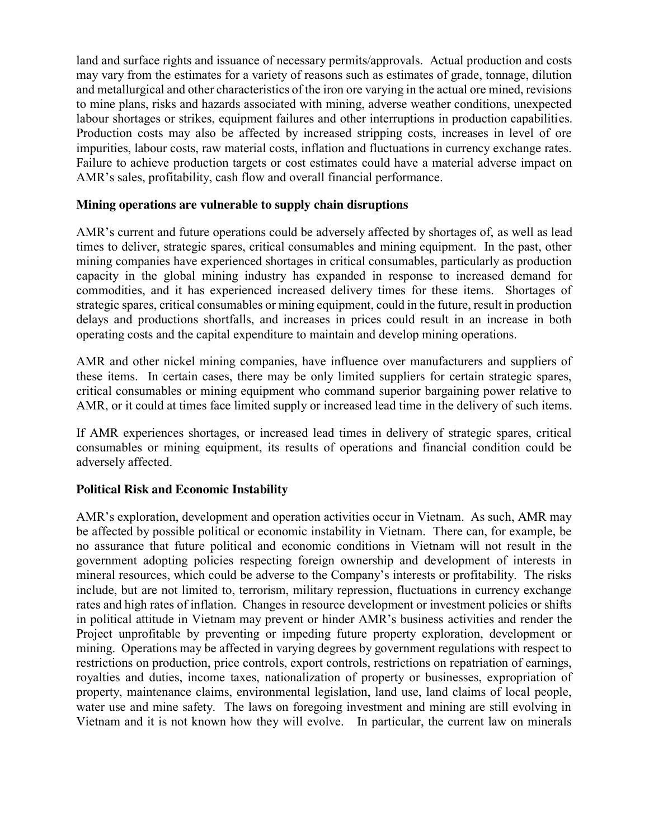land and surface rights and issuance of necessary permits/approvals. Actual production and costs may vary from the estimates for a variety of reasons such as estimates of grade, tonnage, dilution and metallurgical and other characteristics of the iron ore varying in the actual ore mined, revisions to mine plans, risks and hazards associated with mining, adverse weather conditions, unexpected labour shortages or strikes, equipment failures and other interruptions in production capabilities. Production costs may also be affected by increased stripping costs, increases in level of ore impurities, labour costs, raw material costs, inflation and fluctuations in currency exchange rates. Failure to achieve production targets or cost estimates could have a material adverse impact on AMR's sales, profitability, cash flow and overall financial performance.

#### **Mining operations are vulnerable to supply chain disruptions**

AMR's current and future operations could be adversely affected by shortages of, as well as lead times to deliver, strategic spares, critical consumables and mining equipment. In the past, other mining companies have experienced shortages in critical consumables, particularly as production capacity in the global mining industry has expanded in response to increased demand for commodities, and it has experienced increased delivery times for these items. Shortages of strategic spares, critical consumables or mining equipment, could in the future, result in production delays and productions shortfalls, and increases in prices could result in an increase in both operating costs and the capital expenditure to maintain and develop mining operations.

AMR and other nickel mining companies, have influence over manufacturers and suppliers of these items. In certain cases, there may be only limited suppliers for certain strategic spares, critical consumables or mining equipment who command superior bargaining power relative to AMR, or it could at times face limited supply or increased lead time in the delivery of such items.

If AMR experiences shortages, or increased lead times in delivery of strategic spares, critical consumables or mining equipment, its results of operations and financial condition could be adversely affected.

## **Political Risk and Economic Instability**

AMR's exploration, development and operation activities occur in Vietnam. As such, AMR may be affected by possible political or economic instability in Vietnam. There can, for example, be no assurance that future political and economic conditions in Vietnam will not result in the government adopting policies respecting foreign ownership and development of interests in mineral resources, which could be adverse to the Company's interests or profitability. The risks include, but are not limited to, terrorism, military repression, fluctuations in currency exchange rates and high rates of inflation. Changes in resource development or investment policies or shifts in political attitude in Vietnam may prevent or hinder AMR's business activities and render the Project unprofitable by preventing or impeding future property exploration, development or mining. Operations may be affected in varying degrees by government regulations with respect to restrictions on production, price controls, export controls, restrictions on repatriation of earnings, royalties and duties, income taxes, nationalization of property or businesses, expropriation of property, maintenance claims, environmental legislation, land use, land claims of local people, water use and mine safety. The laws on foregoing investment and mining are still evolving in Vietnam and it is not known how they will evolve. In particular, the current law on minerals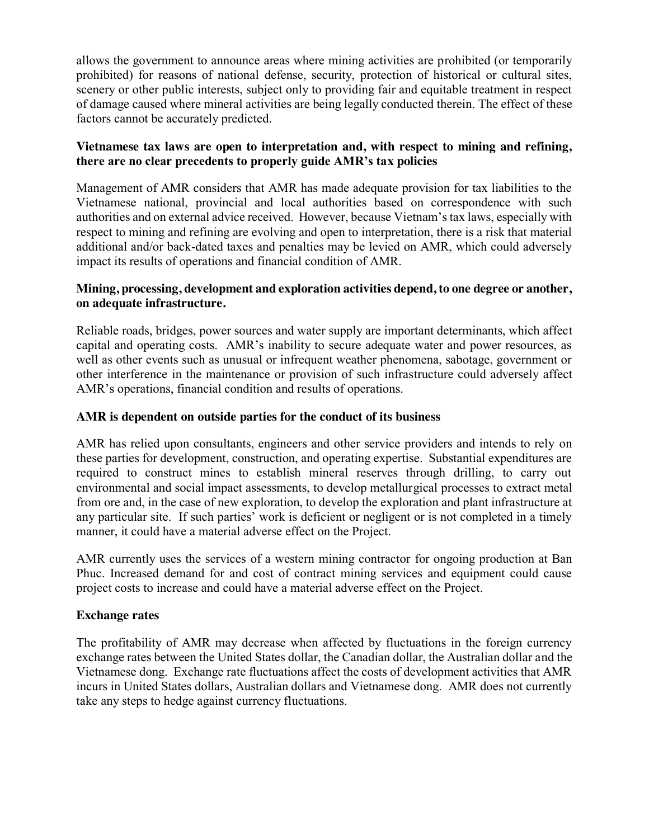allows the government to announce areas where mining activities are prohibited (or temporarily prohibited) for reasons of national defense, security, protection of historical or cultural sites, scenery or other public interests, subject only to providing fair and equitable treatment in respect of damage caused where mineral activities are being legally conducted therein. The effect of these factors cannot be accurately predicted.

### **Vietnamese tax laws are open to interpretation and, with respect to mining and refining, there are no clear precedents to properly guide AMR's tax policies**

Management of AMR considers that AMR has made adequate provision for tax liabilities to the Vietnamese national, provincial and local authorities based on correspondence with such authorities and on external advice received. However, because Vietnam's tax laws, especially with respect to mining and refining are evolving and open to interpretation, there is a risk that material additional and/or back-dated taxes and penalties may be levied on AMR, which could adversely impact its results of operations and financial condition of AMR.

### **Mining, processing, development and exploration activities depend, to one degree or another, on adequate infrastructure.**

Reliable roads, bridges, power sources and water supply are important determinants, which affect capital and operating costs. AMR's inability to secure adequate water and power resources, as well as other events such as unusual or infrequent weather phenomena, sabotage, government or other interference in the maintenance or provision of such infrastructure could adversely affect AMR's operations, financial condition and results of operations.

### **AMR is dependent on outside parties for the conduct of its business**

AMR has relied upon consultants, engineers and other service providers and intends to rely on these parties for development, construction, and operating expertise. Substantial expenditures are required to construct mines to establish mineral reserves through drilling, to carry out environmental and social impact assessments, to develop metallurgical processes to extract metal from ore and, in the case of new exploration, to develop the exploration and plant infrastructure at any particular site. If such parties' work is deficient or negligent or is not completed in a timely manner, it could have a material adverse effect on the Project.

AMR currently uses the services of a western mining contractor for ongoing production at Ban Phuc. Increased demand for and cost of contract mining services and equipment could cause project costs to increase and could have a material adverse effect on the Project.

#### **Exchange rates**

The profitability of AMR may decrease when affected by fluctuations in the foreign currency exchange rates between the United States dollar, the Canadian dollar, the Australian dollar and the Vietnamese dong. Exchange rate fluctuations affect the costs of development activities that AMR incurs in United States dollars, Australian dollars and Vietnamese dong. AMR does not currently take any steps to hedge against currency fluctuations.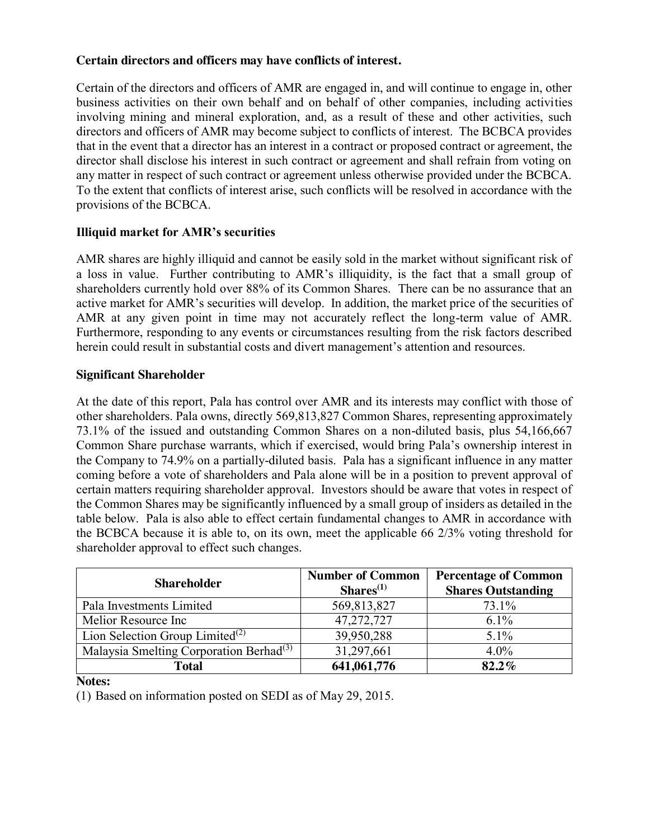### **Certain directors and officers may have conflicts of interest.**

Certain of the directors and officers of AMR are engaged in, and will continue to engage in, other business activities on their own behalf and on behalf of other companies, including activities involving mining and mineral exploration, and, as a result of these and other activities, such directors and officers of AMR may become subject to conflicts of interest. The BCBCA provides that in the event that a director has an interest in a contract or proposed contract or agreement, the director shall disclose his interest in such contract or agreement and shall refrain from voting on any matter in respect of such contract or agreement unless otherwise provided under the BCBCA. To the extent that conflicts of interest arise, such conflicts will be resolved in accordance with the provisions of the BCBCA.

### **Illiquid market for AMR's securities**

AMR shares are highly illiquid and cannot be easily sold in the market without significant risk of a loss in value. Further contributing to AMR's illiquidity, is the fact that a small group of shareholders currently hold over 88% of its Common Shares. There can be no assurance that an active market for AMR's securities will develop. In addition, the market price of the securities of AMR at any given point in time may not accurately reflect the long-term value of AMR. Furthermore, responding to any events or circumstances resulting from the risk factors described herein could result in substantial costs and divert management's attention and resources.

### **Significant Shareholder**

At the date of this report, Pala has control over AMR and its interests may conflict with those of other shareholders. Pala owns, directly 569,813,827 Common Shares, representing approximately 73.1% of the issued and outstanding Common Shares on a non-diluted basis, plus 54,166,667 Common Share purchase warrants, which if exercised, would bring Pala's ownership interest in the Company to 74.9% on a partially-diluted basis. Pala has a significant influence in any matter coming before a vote of shareholders and Pala alone will be in a position to prevent approval of certain matters requiring shareholder approval. Investors should be aware that votes in respect of the Common Shares may be significantly influenced by a small group of insiders as detailed in the table below. Pala is also able to effect certain fundamental changes to AMR in accordance with the BCBCA because it is able to, on its own, meet the applicable 66 2/3% voting threshold for shareholder approval to effect such changes.

| <b>Shareholder</b>                                  | <b>Number of Common</b><br>$Shares^{(1)}$ | <b>Percentage of Common</b><br><b>Shares Outstanding</b> |  |  |
|-----------------------------------------------------|-------------------------------------------|----------------------------------------------------------|--|--|
| Pala Investments Limited                            | 569,813,827                               | 73.1%                                                    |  |  |
| Melior Resource Inc                                 | 47,272,727                                | $6.1\%$                                                  |  |  |
| Lion Selection Group Limited $(2)$                  | 39,950,288                                | 5.1%                                                     |  |  |
| Malaysia Smelting Corporation Berhad <sup>(3)</sup> | 31,297,661                                | $4.0\%$                                                  |  |  |
| <b>Total</b>                                        | 641,061,776                               | 82.2%                                                    |  |  |

#### **Notes:**

(1) Based on information posted on SEDI as of May 29, 2015.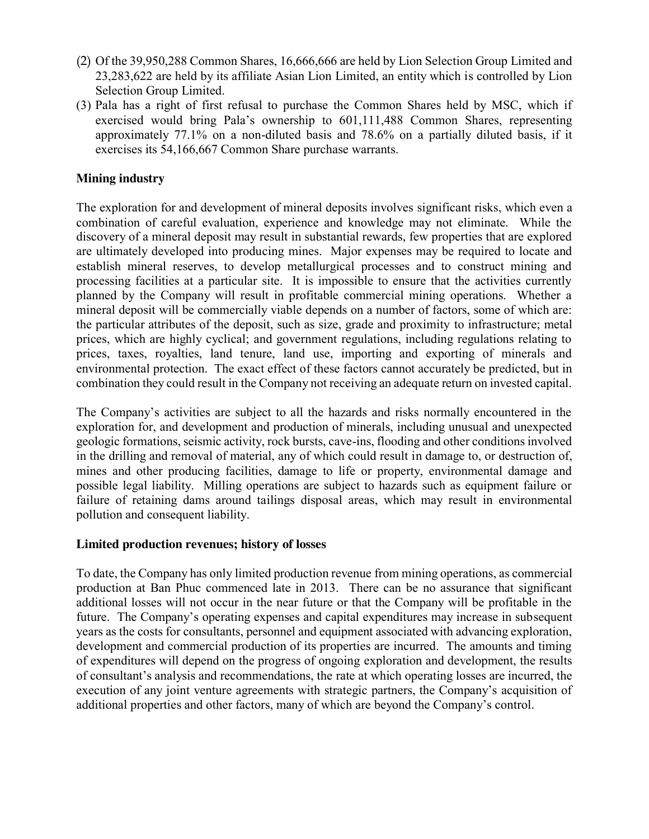- (2) Of the 39,950,288 Common Shares, 16,666,666 are held by Lion Selection Group Limited and 23,283,622 are held by its affiliate Asian Lion Limited, an entity which is controlled by Lion Selection Group Limited.
- (3) Pala has a right of first refusal to purchase the Common Shares held by MSC, which if exercised would bring Pala's ownership to 601,111,488 Common Shares, representing approximately 77.1% on a non-diluted basis and 78.6% on a partially diluted basis, if it exercises its 54,166,667 Common Share purchase warrants.

## **Mining industry**

The exploration for and development of mineral deposits involves significant risks, which even a combination of careful evaluation, experience and knowledge may not eliminate. While the discovery of a mineral deposit may result in substantial rewards, few properties that are explored are ultimately developed into producing mines. Major expenses may be required to locate and establish mineral reserves, to develop metallurgical processes and to construct mining and processing facilities at a particular site. It is impossible to ensure that the activities currently planned by the Company will result in profitable commercial mining operations. Whether a mineral deposit will be commercially viable depends on a number of factors, some of which are: the particular attributes of the deposit, such as size, grade and proximity to infrastructure; metal prices, which are highly cyclical; and government regulations, including regulations relating to prices, taxes, royalties, land tenure, land use, importing and exporting of minerals and environmental protection. The exact effect of these factors cannot accurately be predicted, but in combination they could result in the Company not receiving an adequate return on invested capital.

The Company's activities are subject to all the hazards and risks normally encountered in the exploration for, and development and production of minerals, including unusual and unexpected geologic formations, seismic activity, rock bursts, cave-ins, flooding and other conditions involved in the drilling and removal of material, any of which could result in damage to, or destruction of, mines and other producing facilities, damage to life or property, environmental damage and possible legal liability. Milling operations are subject to hazards such as equipment failure or failure of retaining dams around tailings disposal areas, which may result in environmental pollution and consequent liability.

#### **Limited production revenues; history of losses**

To date, the Company has only limited production revenue from mining operations, as commercial production at Ban Phuc commenced late in 2013. There can be no assurance that significant additional losses will not occur in the near future or that the Company will be profitable in the future. The Company's operating expenses and capital expenditures may increase in subsequent years as the costs for consultants, personnel and equipment associated with advancing exploration, development and commercial production of its properties are incurred. The amounts and timing of expenditures will depend on the progress of ongoing exploration and development, the results of consultant's analysis and recommendations, the rate at which operating losses are incurred, the execution of any joint venture agreements with strategic partners, the Company's acquisition of additional properties and other factors, many of which are beyond the Company's control.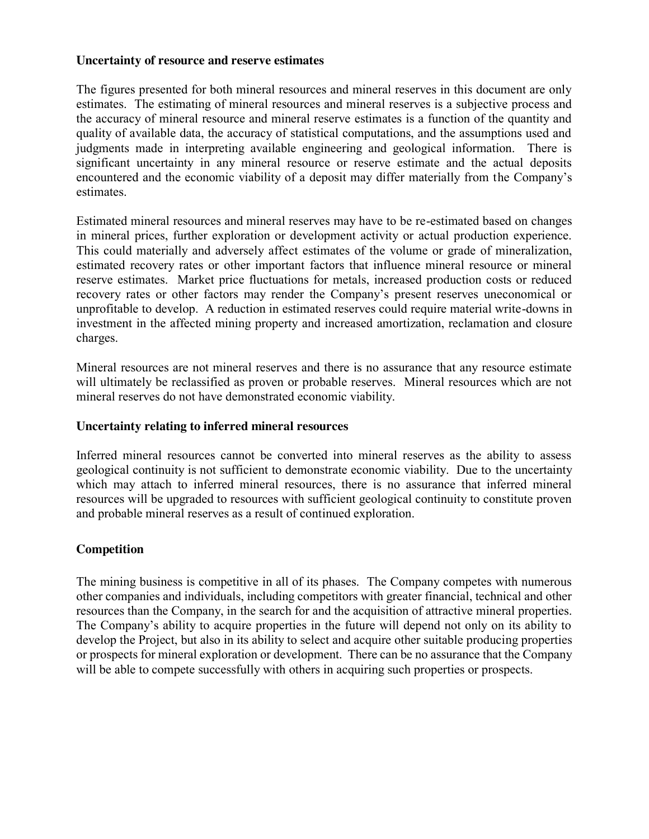#### **Uncertainty of resource and reserve estimates**

The figures presented for both mineral resources and mineral reserves in this document are only estimates. The estimating of mineral resources and mineral reserves is a subjective process and the accuracy of mineral resource and mineral reserve estimates is a function of the quantity and quality of available data, the accuracy of statistical computations, and the assumptions used and judgments made in interpreting available engineering and geological information. There is significant uncertainty in any mineral resource or reserve estimate and the actual deposits encountered and the economic viability of a deposit may differ materially from the Company's estimates.

Estimated mineral resources and mineral reserves may have to be re-estimated based on changes in mineral prices, further exploration or development activity or actual production experience. This could materially and adversely affect estimates of the volume or grade of mineralization, estimated recovery rates or other important factors that influence mineral resource or mineral reserve estimates. Market price fluctuations for metals, increased production costs or reduced recovery rates or other factors may render the Company's present reserves uneconomical or unprofitable to develop. A reduction in estimated reserves could require material write-downs in investment in the affected mining property and increased amortization, reclamation and closure charges.

Mineral resources are not mineral reserves and there is no assurance that any resource estimate will ultimately be reclassified as proven or probable reserves. Mineral resources which are not mineral reserves do not have demonstrated economic viability.

#### **Uncertainty relating to inferred mineral resources**

Inferred mineral resources cannot be converted into mineral reserves as the ability to assess geological continuity is not sufficient to demonstrate economic viability. Due to the uncertainty which may attach to inferred mineral resources, there is no assurance that inferred mineral resources will be upgraded to resources with sufficient geological continuity to constitute proven and probable mineral reserves as a result of continued exploration.

#### **Competition**

The mining business is competitive in all of its phases. The Company competes with numerous other companies and individuals, including competitors with greater financial, technical and other resources than the Company, in the search for and the acquisition of attractive mineral properties. The Company's ability to acquire properties in the future will depend not only on its ability to develop the Project, but also in its ability to select and acquire other suitable producing properties or prospects for mineral exploration or development. There can be no assurance that the Company will be able to compete successfully with others in acquiring such properties or prospects.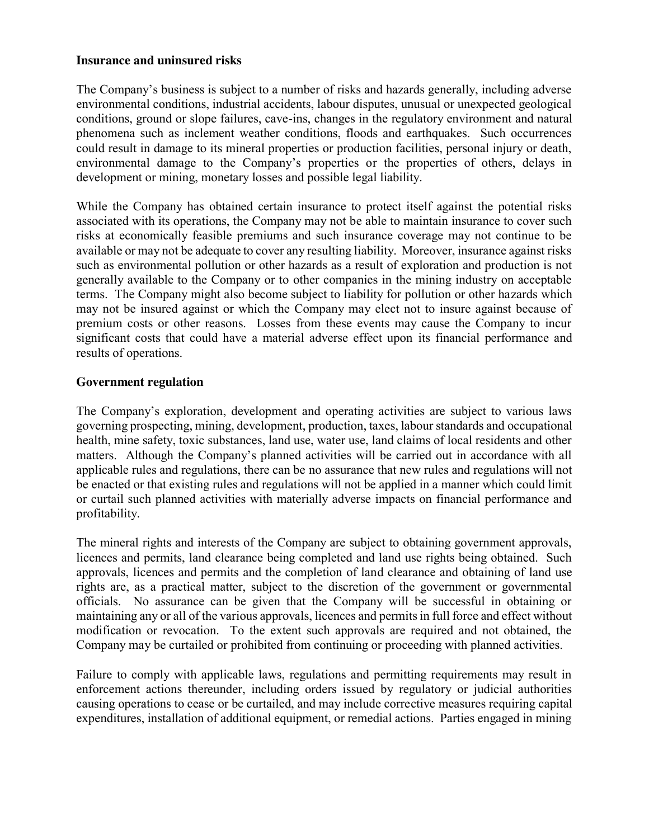#### **Insurance and uninsured risks**

The Company's business is subject to a number of risks and hazards generally, including adverse environmental conditions, industrial accidents, labour disputes, unusual or unexpected geological conditions, ground or slope failures, cave-ins, changes in the regulatory environment and natural phenomena such as inclement weather conditions, floods and earthquakes. Such occurrences could result in damage to its mineral properties or production facilities, personal injury or death, environmental damage to the Company's properties or the properties of others, delays in development or mining, monetary losses and possible legal liability.

While the Company has obtained certain insurance to protect itself against the potential risks associated with its operations, the Company may not be able to maintain insurance to cover such risks at economically feasible premiums and such insurance coverage may not continue to be available or may not be adequate to cover any resulting liability. Moreover, insurance against risks such as environmental pollution or other hazards as a result of exploration and production is not generally available to the Company or to other companies in the mining industry on acceptable terms. The Company might also become subject to liability for pollution or other hazards which may not be insured against or which the Company may elect not to insure against because of premium costs or other reasons. Losses from these events may cause the Company to incur significant costs that could have a material adverse effect upon its financial performance and results of operations.

#### **Government regulation**

The Company's exploration, development and operating activities are subject to various laws governing prospecting, mining, development, production, taxes, labour standards and occupational health, mine safety, toxic substances, land use, water use, land claims of local residents and other matters. Although the Company's planned activities will be carried out in accordance with all applicable rules and regulations, there can be no assurance that new rules and regulations will not be enacted or that existing rules and regulations will not be applied in a manner which could limit or curtail such planned activities with materially adverse impacts on financial performance and profitability.

The mineral rights and interests of the Company are subject to obtaining government approvals, licences and permits, land clearance being completed and land use rights being obtained. Such approvals, licences and permits and the completion of land clearance and obtaining of land use rights are, as a practical matter, subject to the discretion of the government or governmental officials. No assurance can be given that the Company will be successful in obtaining or maintaining any or all of the various approvals, licences and permits in full force and effect without modification or revocation. To the extent such approvals are required and not obtained, the Company may be curtailed or prohibited from continuing or proceeding with planned activities.

Failure to comply with applicable laws, regulations and permitting requirements may result in enforcement actions thereunder, including orders issued by regulatory or judicial authorities causing operations to cease or be curtailed, and may include corrective measures requiring capital expenditures, installation of additional equipment, or remedial actions. Parties engaged in mining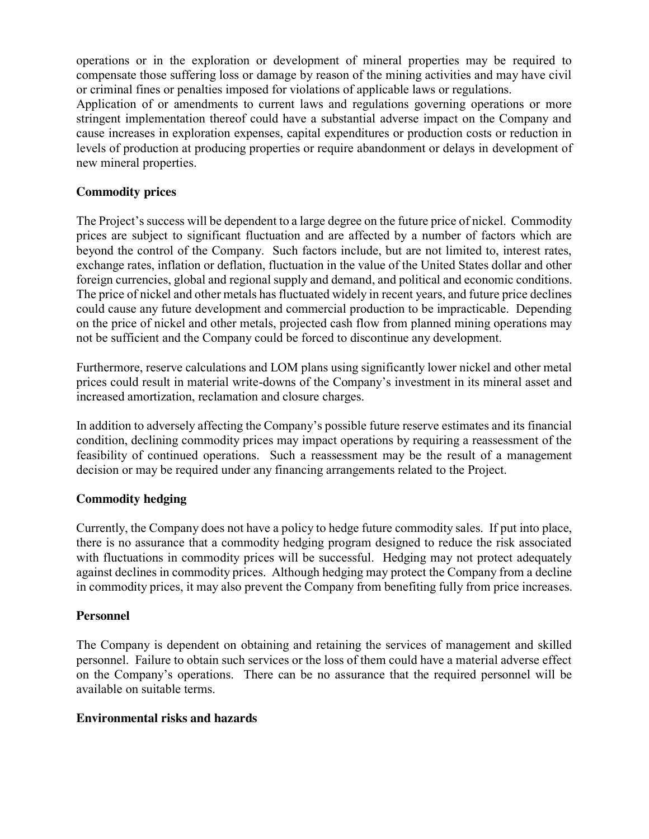operations or in the exploration or development of mineral properties may be required to compensate those suffering loss or damage by reason of the mining activities and may have civil or criminal fines or penalties imposed for violations of applicable laws or regulations.

Application of or amendments to current laws and regulations governing operations or more stringent implementation thereof could have a substantial adverse impact on the Company and cause increases in exploration expenses, capital expenditures or production costs or reduction in levels of production at producing properties or require abandonment or delays in development of new mineral properties.

## **Commodity prices**

The Project's success will be dependent to a large degree on the future price of nickel. Commodity prices are subject to significant fluctuation and are affected by a number of factors which are beyond the control of the Company. Such factors include, but are not limited to, interest rates, exchange rates, inflation or deflation, fluctuation in the value of the United States dollar and other foreign currencies, global and regional supply and demand, and political and economic conditions. The price of nickel and other metals has fluctuated widely in recent years, and future price declines could cause any future development and commercial production to be impracticable. Depending on the price of nickel and other metals, projected cash flow from planned mining operations may not be sufficient and the Company could be forced to discontinue any development.

Furthermore, reserve calculations and LOM plans using significantly lower nickel and other metal prices could result in material write-downs of the Company's investment in its mineral asset and increased amortization, reclamation and closure charges.

In addition to adversely affecting the Company's possible future reserve estimates and its financial condition, declining commodity prices may impact operations by requiring a reassessment of the feasibility of continued operations. Such a reassessment may be the result of a management decision or may be required under any financing arrangements related to the Project.

## **Commodity hedging**

Currently, the Company does not have a policy to hedge future commodity sales. If put into place, there is no assurance that a commodity hedging program designed to reduce the risk associated with fluctuations in commodity prices will be successful. Hedging may not protect adequately against declines in commodity prices. Although hedging may protect the Company from a decline in commodity prices, it may also prevent the Company from benefiting fully from price increases.

## **Personnel**

The Company is dependent on obtaining and retaining the services of management and skilled personnel. Failure to obtain such services or the loss of them could have a material adverse effect on the Company's operations. There can be no assurance that the required personnel will be available on suitable terms.

## **Environmental risks and hazards**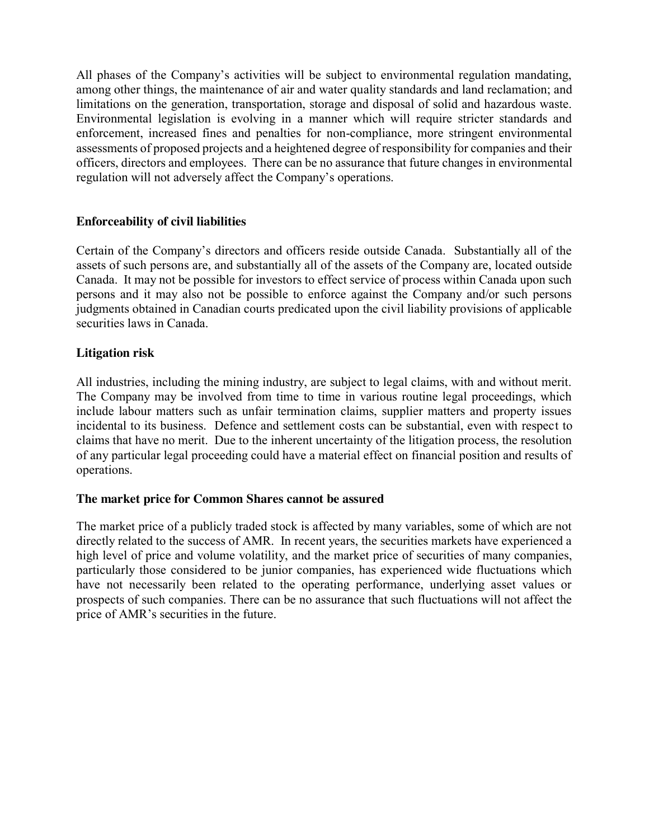All phases of the Company's activities will be subject to environmental regulation mandating, among other things, the maintenance of air and water quality standards and land reclamation; and limitations on the generation, transportation, storage and disposal of solid and hazardous waste. Environmental legislation is evolving in a manner which will require stricter standards and enforcement, increased fines and penalties for non-compliance, more stringent environmental assessments of proposed projects and a heightened degree of responsibility for companies and their officers, directors and employees. There can be no assurance that future changes in environmental regulation will not adversely affect the Company's operations.

## **Enforceability of civil liabilities**

Certain of the Company's directors and officers reside outside Canada. Substantially all of the assets of such persons are, and substantially all of the assets of the Company are, located outside Canada. It may not be possible for investors to effect service of process within Canada upon such persons and it may also not be possible to enforce against the Company and/or such persons judgments obtained in Canadian courts predicated upon the civil liability provisions of applicable securities laws in Canada.

## **Litigation risk**

All industries, including the mining industry, are subject to legal claims, with and without merit. The Company may be involved from time to time in various routine legal proceedings, which include labour matters such as unfair termination claims, supplier matters and property issues incidental to its business. Defence and settlement costs can be substantial, even with respect to claims that have no merit. Due to the inherent uncertainty of the litigation process, the resolution of any particular legal proceeding could have a material effect on financial position and results of operations.

## **The market price for Common Shares cannot be assured**

The market price of a publicly traded stock is affected by many variables, some of which are not directly related to the success of AMR. In recent years, the securities markets have experienced a high level of price and volume volatility, and the market price of securities of many companies, particularly those considered to be junior companies, has experienced wide fluctuations which have not necessarily been related to the operating performance, underlying asset values or prospects of such companies. There can be no assurance that such fluctuations will not affect the price of AMR's securities in the future.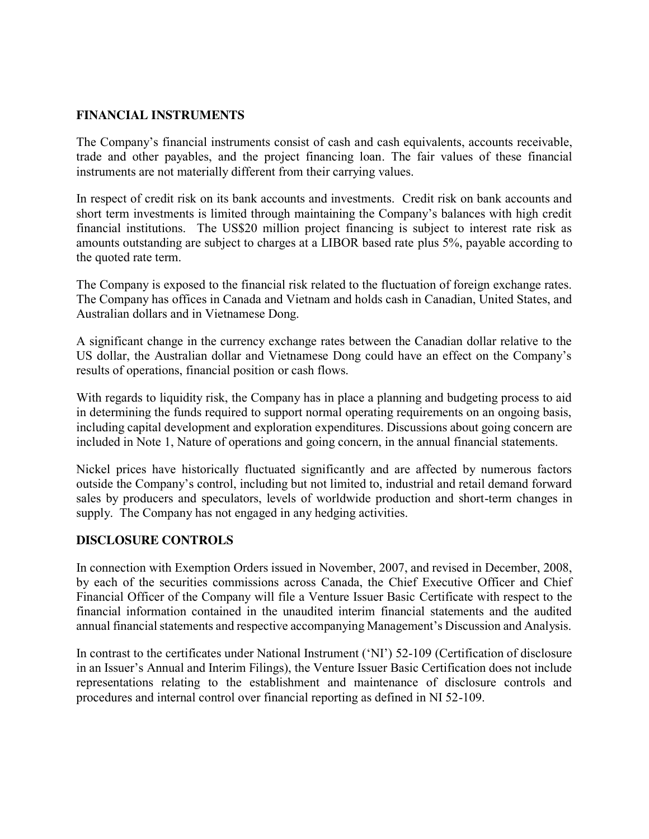### **FINANCIAL INSTRUMENTS**

The Company's financial instruments consist of cash and cash equivalents, accounts receivable, trade and other payables, and the project financing loan. The fair values of these financial instruments are not materially different from their carrying values.

In respect of credit risk on its bank accounts and investments. Credit risk on bank accounts and short term investments is limited through maintaining the Company's balances with high credit financial institutions. The US\$20 million project financing is subject to interest rate risk as amounts outstanding are subject to charges at a LIBOR based rate plus 5%, payable according to the quoted rate term.

The Company is exposed to the financial risk related to the fluctuation of foreign exchange rates. The Company has offices in Canada and Vietnam and holds cash in Canadian, United States, and Australian dollars and in Vietnamese Dong.

A significant change in the currency exchange rates between the Canadian dollar relative to the US dollar, the Australian dollar and Vietnamese Dong could have an effect on the Company's results of operations, financial position or cash flows.

With regards to liquidity risk, the Company has in place a planning and budgeting process to aid in determining the funds required to support normal operating requirements on an ongoing basis, including capital development and exploration expenditures. Discussions about going concern are included in Note 1, Nature of operations and going concern, in the annual financial statements.

Nickel prices have historically fluctuated significantly and are affected by numerous factors outside the Company's control, including but not limited to, industrial and retail demand forward sales by producers and speculators, levels of worldwide production and short-term changes in supply. The Company has not engaged in any hedging activities.

#### **DISCLOSURE CONTROLS**

In connection with Exemption Orders issued in November, 2007, and revised in December, 2008, by each of the securities commissions across Canada, the Chief Executive Officer and Chief Financial Officer of the Company will file a Venture Issuer Basic Certificate with respect to the financial information contained in the unaudited interim financial statements and the audited annual financial statements and respective accompanying Management's Discussion and Analysis.

In contrast to the certificates under National Instrument ('NI') 52-109 (Certification of disclosure in an Issuer's Annual and Interim Filings), the Venture Issuer Basic Certification does not include representations relating to the establishment and maintenance of disclosure controls and procedures and internal control over financial reporting as defined in NI 52-109.